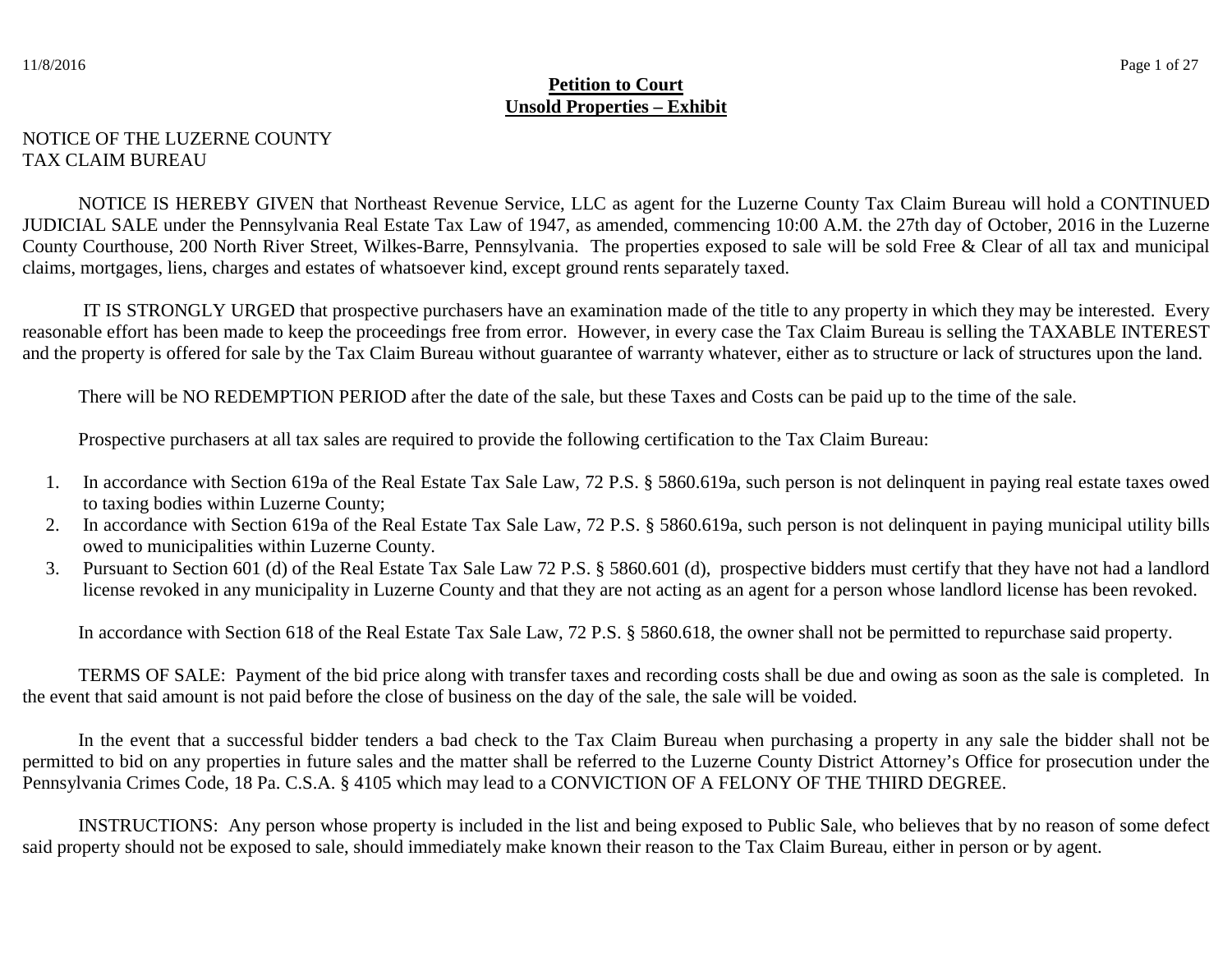## NOTICE OF THE LUZERNE COUNTY TAX CLAIM BUREAU

 NOTICE IS HEREBY GIVEN that Northeast Revenue Service, LLC as agent for the Luzerne County Tax Claim Bureau will hold a CONTINUED JUDICIAL SALE under the Pennsylvania Real Estate Tax Law of 1947, as amended, commencing 10:00 A.M. the 27th day of October, 2016 in the Luzerne County Courthouse, 200 North River Street, Wilkes-Barre, Pennsylvania. The properties exposed to sale will be sold Free & Clear of all tax and municipal claims, mortgages, liens, charges and estates of whatsoever kind, except ground rents separately taxed.

 IT IS STRONGLY URGED that prospective purchasers have an examination made of the title to any property in which they may be interested. Every reasonable effort has been made to keep the proceedings free from error. However, in every case the Tax Claim Bureau is selling the TAXABLE INTEREST and the property is offered for sale by the Tax Claim Bureau without guarantee of warranty whatever, either as to structure or lack of structures upon the land.

There will be NO REDEMPTION PERIOD after the date of the sale, but these Taxes and Costs can be paid up to the time of the sale.

Prospective purchasers at all tax sales are required to provide the following certification to the Tax Claim Bureau:

- 1. In accordance with Section 619a of the Real Estate Tax Sale Law, 72 P.S. § 5860.619a, such person is not delinquent in paying real estate taxes owed to taxing bodies within Luzerne County;
- 2. In accordance with Section 619a of the Real Estate Tax Sale Law, 72 P.S. § 5860.619a, such person is not delinquent in paying municipal utility bills owed to municipalities within Luzerne County.
- 3. Pursuant to Section 601 (d) of the Real Estate Tax Sale Law 72 P.S. § 5860.601 (d), prospective bidders must certify that they have not had a landlord license revoked in any municipality in Luzerne County and that they are not acting as an agent for a person whose landlord license has been revoked.

In accordance with Section 618 of the Real Estate Tax Sale Law, 72 P.S. § 5860.618, the owner shall not be permitted to repurchase said property.

 TERMS OF SALE: Payment of the bid price along with transfer taxes and recording costs shall be due and owing as soon as the sale is completed. In the event that said amount is not paid before the close of business on the day of the sale, the sale will be voided.

In the event that a successful bidder tenders a bad check to the Tax Claim Bureau when purchasing a property in any sale the bidder shall not be permitted to bid on any properties in future sales and the matter shall be referred to the Luzerne County District Attorney's Office for prosecution under the Pennsylvania Crimes Code, 18 Pa. C.S.A. § 4105 which may lead to a CONVICTION OF A FELONY OF THE THIRD DEGREE.

INSTRUCTIONS: Any person whose property is included in the list and being exposed to Public Sale, who believes that by no reason of some defect said property should not be exposed to sale, should immediately make known their reason to the Tax Claim Bureau, either in person or by agent.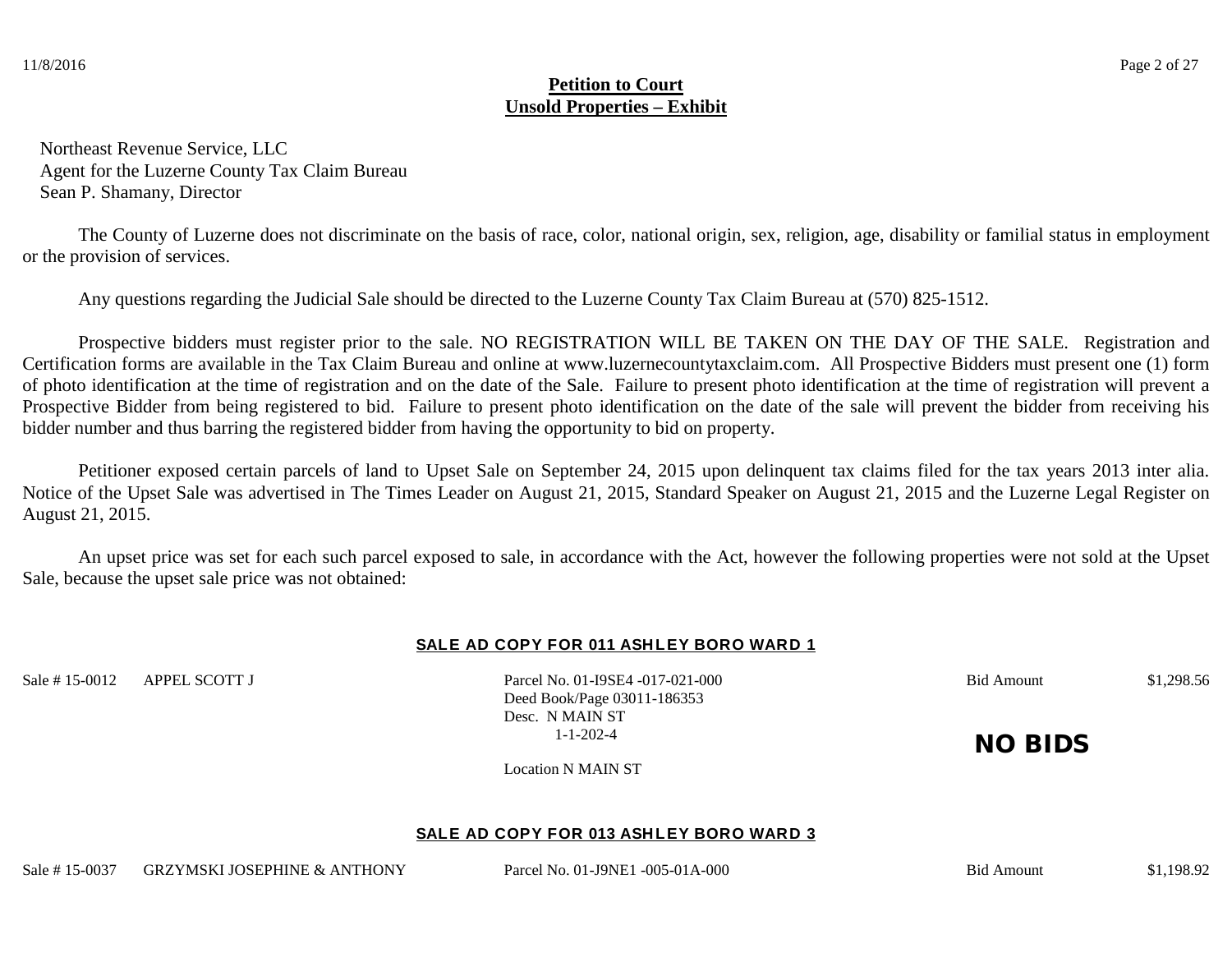Northeast Revenue Service, LLC Agent for the Luzerne County Tax Claim Bureau Sean P. Shamany, Director

 The County of Luzerne does not discriminate on the basis of race, color, national origin, sex, religion, age, disability or familial status in employment or the provision of services.

Any questions regarding the Judicial Sale should be directed to the Luzerne County Tax Claim Bureau at (570) 825-1512.

Prospective bidders must register prior to the sale. NO REGISTRATION WILL BE TAKEN ON THE DAY OF THE SALE. Registration and Certification forms are available in the Tax Claim Bureau and online at www.luzernecountytaxclaim.com. All Prospective Bidders must present one (1) form of photo identification at the time of registration and on the date of the Sale. Failure to present photo identification at the time of registration will prevent a Prospective Bidder from being registered to bid. Failure to present photo identification on the date of the sale will prevent the bidder from receiving his bidder number and thus barring the registered bidder from having the opportunity to bid on property.

Petitioner exposed certain parcels of land to Upset Sale on September 24, 2015 upon delinquent tax claims filed for the tax years 2013 inter alia. Notice of the Upset Sale was advertised in The Times Leader on August 21, 2015, Standard Speaker on August 21, 2015 and the Luzerne Legal Register on August 21, 2015.

An upset price was set for each such parcel exposed to sale, in accordance with the Act, however the following properties were not sold at the Upset Sale, because the upset sale price was not obtained:

### SALE AD COPY FOR 011 ASHLEY BORO WARD 1

Sale # 15-0012 APPEL SCOTT J Parcel No. 01-I9SE4 -017-021-000 Bid Amount \$1,298.56

Deed Book/Page 03011-186353 Desc. N MAIN ST

1-1-202-4 **NO BIDS** 

Location N MAIN ST

#### **SALE AD COPY FOR 013 ASH LEY BORO WARD 3**

Sale # 15-0037 GRZYMSKI JOSEPHINE & ANTHONY Parcel No. 01-J9NE1 -005-01A-000 Bid Amount \$1,198.92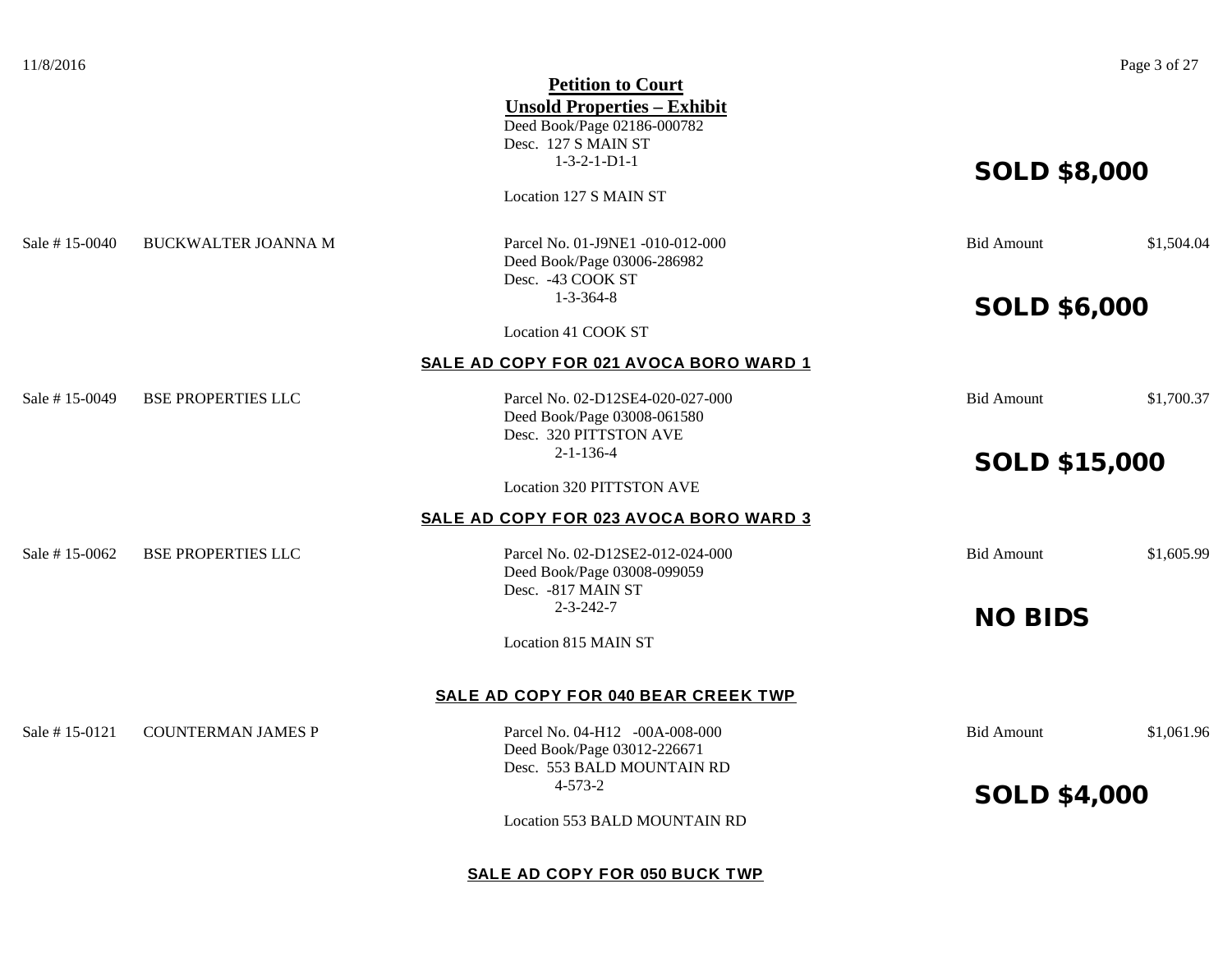|                |                            | <b>Petition to Court</b>                      |                      |            |
|----------------|----------------------------|-----------------------------------------------|----------------------|------------|
|                |                            | <b>Unsold Properties - Exhibit</b>            |                      |            |
|                |                            | Deed Book/Page 02186-000782                   |                      |            |
|                |                            | Desc. 127 S MAIN ST<br>$1-3-2-1-D1-1$         |                      |            |
|                |                            |                                               | <b>SOLD \$8,000</b>  |            |
|                |                            | Location 127 S MAIN ST                        |                      |            |
| Sale # 15-0040 | <b>BUCKWALTER JOANNA M</b> | Parcel No. 01-J9NE1-010-012-000               | <b>Bid Amount</b>    | \$1,504.04 |
|                |                            | Deed Book/Page 03006-286982                   |                      |            |
|                |                            | Desc. - 43 COOK ST<br>$1 - 3 - 364 - 8$       |                      |            |
|                |                            |                                               | <b>SOLD \$6,000</b>  |            |
|                |                            | Location 41 COOK ST                           |                      |            |
|                |                            | SALE AD COPY FOR 021 AVOCA BORO WARD 1        |                      |            |
| Sale #15-0049  | <b>BSE PROPERTIES LLC</b>  | Parcel No. 02-D12SE4-020-027-000              | <b>Bid Amount</b>    | \$1,700.37 |
|                |                            | Deed Book/Page 03008-061580                   |                      |            |
|                |                            | Desc. 320 PITTSTON AVE                        |                      |            |
|                |                            | $2 - 1 - 136 - 4$                             | <b>SOLD \$15,000</b> |            |
|                |                            | Location 320 PITTSTON AVE                     |                      |            |
|                |                            | <b>SALE AD COPY FOR 023 AVOCA BORO WARD 3</b> |                      |            |
| Sale #15-0062  | <b>BSE PROPERTIES LLC</b>  | Parcel No. 02-D12SE2-012-024-000              | <b>Bid Amount</b>    | \$1,605.99 |
|                |                            | Deed Book/Page 03008-099059                   |                      |            |
|                |                            | Desc. - 817 MAIN ST                           |                      |            |
|                |                            | $2 - 3 - 242 - 7$                             | <b>NO BIDS</b>       |            |
|                |                            | Location 815 MAIN ST                          |                      |            |
|                |                            | SALE AD COPY FOR 040 BEAR CREEK TWP           |                      |            |
|                | <b>COUNTERMAN JAMES P</b>  | Parcel No. 04-H12 -00A-008-000                |                      |            |
| Sale # 15-0121 |                            | Deed Book/Page 03012-226671                   | <b>Bid Amount</b>    | \$1,061.96 |
|                |                            | Desc. 553 BALD MOUNTAIN RD                    |                      |            |
|                |                            | $4 - 573 - 2$                                 |                      |            |
|                |                            |                                               | <b>SOLD \$4,000</b>  |            |
|                |                            | Location 553 BALD MOUNTAIN RD                 |                      |            |
|                |                            |                                               |                      |            |
|                |                            | SALE AD COPY FOR 050 BUCK TWP                 |                      |            |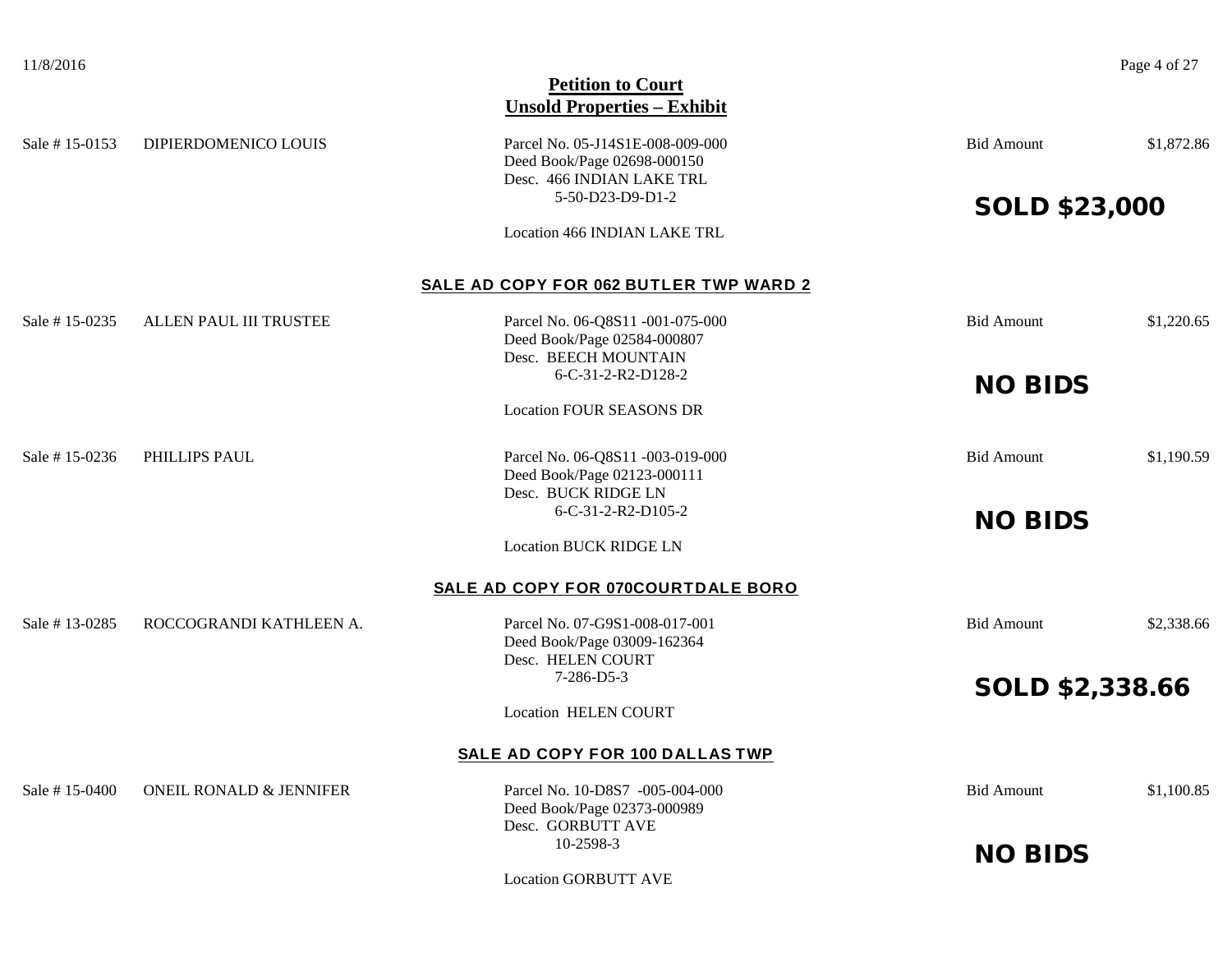## **Petition to Court Unsold Properties – Exhibit** Sale # 15-0153 DIPIERDOMENICO LOUIS Parcel No. 05-J14S1E-008-009-000 Bid Amount \$1,872.86 Deed Book/Page 02698-000150 Desc. 466 INDIAN LAKE TRL<br>5-50-D23-D9-D1-2 SOLD \$23,000 Location 466 INDIAN LAKE TRL **SALE AD COPY FOR 062 BUTLER TWP WARD 2** Sale # 15-0235 ALLEN PAUL III TRUSTEE Parcel No. 06-08S11 -001-075-000 Bid Amount \$1,220.65 Deed Book/Page 02584-000807 Desc. BEECH MOUNTAIN 6-C-31-2-R2-D128-2 **NO BIDS** Location FOUR SEASONS DR Sale # 15-0236 PHILLIPS PAUL Parcel No. 06-08S11 -003-019-000 Bid Amount \$1,190.59 Deed Book/Page 02123-000111 Desc. BUCK RIDGE LN<br>6-C-31-2-R2-D105-2 **NO BIDS** Location BUCK RIDGE LN **SALE AD COPY FOR 070COURTDALE BORO** Sale # 13-0285 ROCCOGRANDI KATHLEEN A. Parcel No. 07-G9S1-008-017-001 Bid Amount \$2,338.66 Deed Book/Page 03009-162364 Desc. HELEN COURT 7-286-D5-3 SOLD \$2,338.66 Location HELEN COURT **SALE AD COPY FOR 100 DALLAS TWP** Sale # 15-0400 ONEIL RONALD & JENNIFER Parcel No. 10-D8S7 -005-004-000 Bid Amount \$1,100.85 Deed Book/Page 02373-000989 Desc. GORBUTT AVE 10-2598-3 **NO BIDS**

Location GORBUTT AVE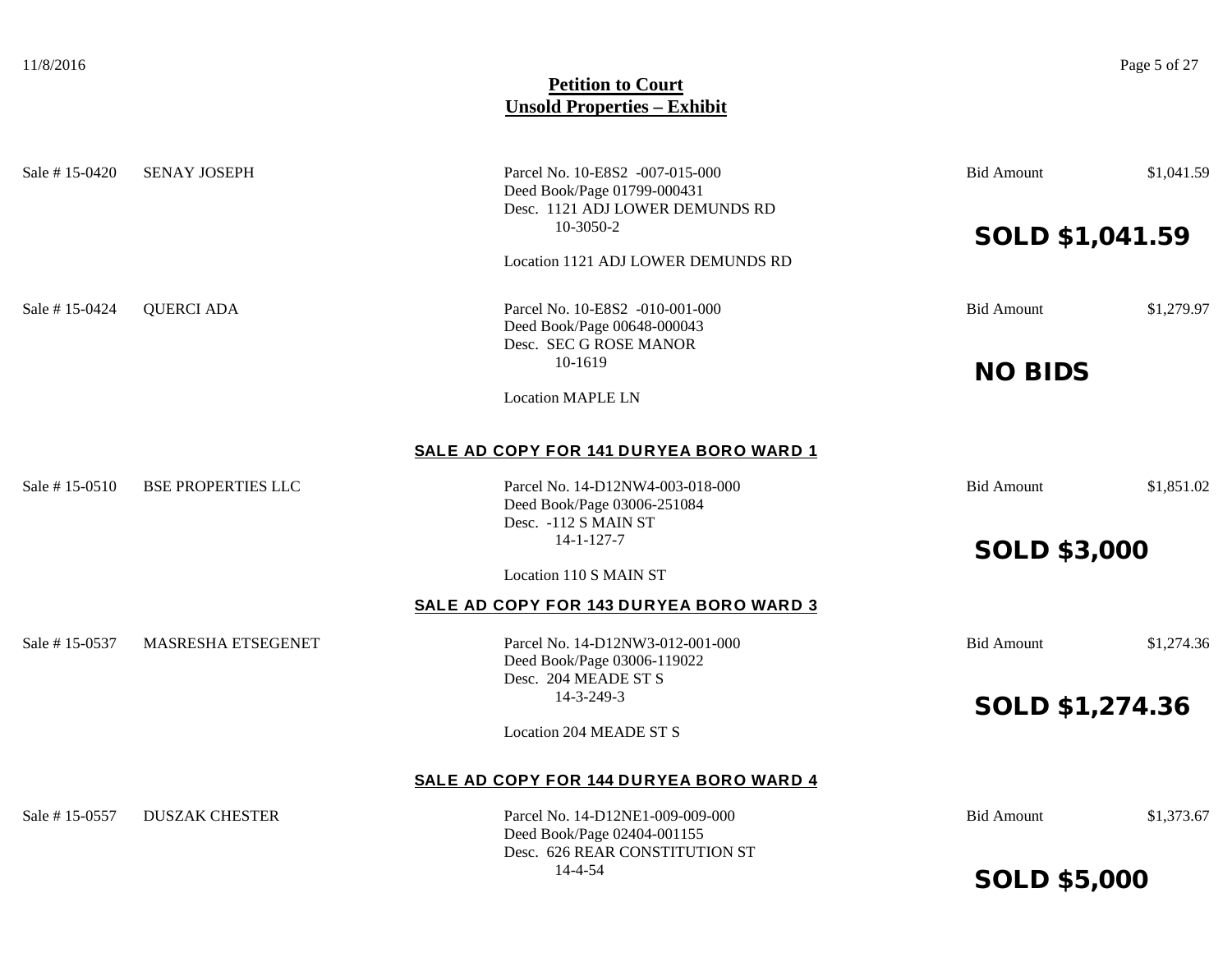| Sale #15-0420 | <b>SENAY JOSEPH</b>       | Parcel No. 10-E8S2 -007-015-000<br>Deed Book/Page 01799-000431<br>Desc. 1121 ADJ LOWER DEMUNDS RD | <b>Bid Amount</b>   | \$1,041.59 |
|---------------|---------------------------|---------------------------------------------------------------------------------------------------|---------------------|------------|
|               |                           | 10-3050-2                                                                                         | SOLD \$1,041.59     |            |
|               |                           | Location 1121 ADJ LOWER DEMUNDS RD                                                                |                     |            |
| Sale #15-0424 | <b>QUERCI ADA</b>         | Parcel No. 10-E8S2 -010-001-000<br>Deed Book/Page 00648-000043<br>Desc. SEC G ROSE MANOR          | <b>Bid Amount</b>   | \$1,279.97 |
|               |                           | 10-1619                                                                                           | <b>NO BIDS</b>      |            |
|               |                           | <b>Location MAPLE LN</b>                                                                          |                     |            |
|               |                           | SALE AD COPY FOR 141 DURYEA BORO WARD 1                                                           |                     |            |
| Sale #15-0510 | <b>BSE PROPERTIES LLC</b> | Parcel No. 14-D12NW4-003-018-000<br>Deed Book/Page 03006-251084<br>Desc. - 112 S MAIN ST          | <b>Bid Amount</b>   | \$1,851.02 |
|               |                           | $14 - 1 - 127 - 7$                                                                                | <b>SOLD \$3,000</b> |            |
|               |                           | Location 110 S MAIN ST                                                                            |                     |            |
|               |                           | SALE AD COPY FOR 143 DURYEA BORO WARD 3                                                           |                     |            |
| Sale #15-0537 | MASRESHA ETSEGENET        | Parcel No. 14-D12NW3-012-001-000<br>Deed Book/Page 03006-119022<br>Desc. 204 MEADE ST S           | <b>Bid Amount</b>   | \$1,274.36 |
|               |                           | 14-3-249-3                                                                                        | SOLD \$1,274.36     |            |
|               |                           | <b>Location 204 MEADE ST S</b>                                                                    |                     |            |
|               |                           | SALE AD COPY FOR 144 DURYEA BORO WARD 4                                                           |                     |            |
| Sale #15-0557 | <b>DUSZAK CHESTER</b>     | Parcel No. 14-D12NE1-009-009-000<br>Deed Book/Page 02404-001155<br>Desc. 626 REAR CONSTITUTION ST | <b>Bid Amount</b>   | \$1,373.67 |
|               |                           | 14-4-54                                                                                           | <b>SOLD \$5,000</b> |            |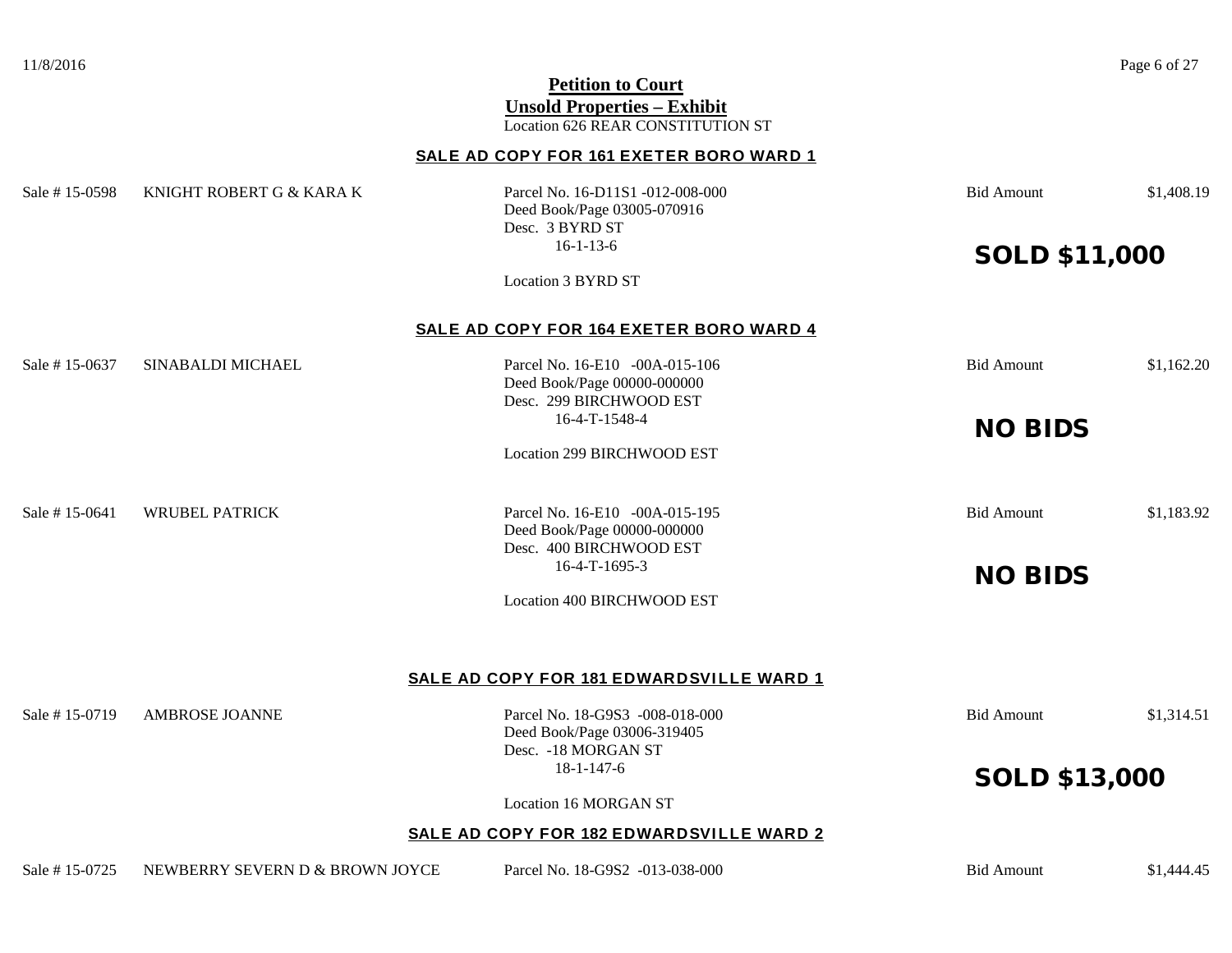# 11/8/2016 Page 6 of 27 **Petition to Court Unsold Properties – Exhibit** Location 626 REAR CONSTITUTION ST **SALE AD COPY FOR 161 EXETER BORO WARD 1** Sale # 15-0598 KNIGHT ROBERT G & KARA K Parcel No. 16-D11S1 -012-008-000 Bid Amount \$1,408.19 Deed Book/Page 03005-070916 Desc. 3 BYRD ST 16-1-13-6 **SOLD \$11,000** Location 3 BYRD ST **SALE AD COPY FOR 164 EXETER BORO WARD 4** Sale # 15-0637 SINABALDI MICHAEL Parcel No. 16-E10 -00A-015-106 Bid Amount \$1,162.20 Deed Book/Page 00000-000000 Desc. 299 BIRCHWOOD EST<br>16-4-T-1548-4 **NO BIDS** Location 299 BIRCHWOOD EST Sale # 15-0641 WRUBEL PATRICK Parcel No. 16-E10 -00A-015-195 Bid Amount \$1,183.92 Deed Book/Page 00000-000000 Desc. 400 BIRCHWOOD EST<br>16-4-T-1695-3 NO BIDS Location 400 BIRCHWOOD EST **SALE AD COPY FOR 181 EDWARDSVILLE WARD 1** Sale # 15-0719 AMBROSE JOANNE Parcel No. 18-G9S3 -008-018-000 Bid Amount \$1,314.51 Deed Book/Page 03006-319405 Desc. -18 MORGAN ST 18-1-147-6 SOLD \$13,000 Location 16 MORGAN ST **SALE AD COPY FOR 182 EDWARDSVILLE WARD 2** Sale # 15-0725 NEWBERRY SEVERN D & BROWN JOYCE Parcel No. 18-G9S2 -013-038-000 Bid Amount \$1,444.45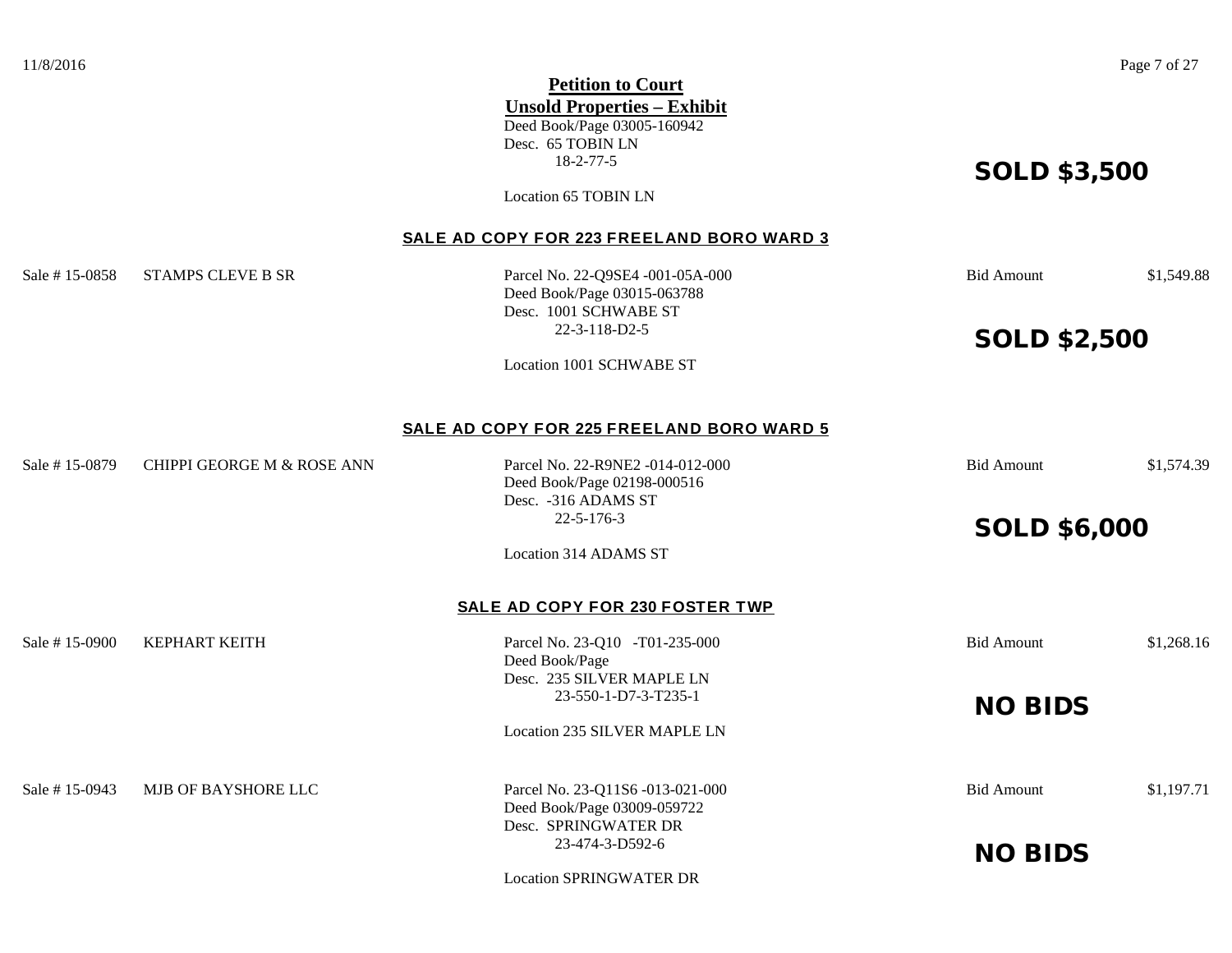|                |                            | <b>Petition to Court</b><br><b>Unsold Properties - Exhibit</b><br>Deed Book/Page 03005-160942<br>Desc. 65 TOBIN LN<br>$18 - 2 - 77 - 5$<br>Location 65 TOBIN LN | <b>SOLD \$3,500</b> |            |
|----------------|----------------------------|-----------------------------------------------------------------------------------------------------------------------------------------------------------------|---------------------|------------|
|                |                            | SALE AD COPY FOR 223 FREELAND BORO WARD 3                                                                                                                       |                     |            |
| Sale # 15-0858 | <b>STAMPS CLEVE B SR</b>   | Parcel No. 22-Q9SE4 -001-05A-000<br>Deed Book/Page 03015-063788<br>Desc. 1001 SCHWABE ST                                                                        | <b>Bid Amount</b>   | \$1,549.88 |
|                |                            | $22 - 3 - 118 - D2 - 5$                                                                                                                                         | <b>SOLD \$2,500</b> |            |
|                |                            | Location 1001 SCHWABE ST                                                                                                                                        |                     |            |
|                |                            | SALE AD COPY FOR 225 FREELAND BORO WARD 5                                                                                                                       |                     |            |
| Sale # 15-0879 | CHIPPI GEORGE M & ROSE ANN | Parcel No. 22-R9NE2 -014-012-000<br>Deed Book/Page 02198-000516<br>Desc. - 316 ADAMS ST                                                                         | <b>Bid Amount</b>   | \$1,574.39 |
|                |                            | $22 - 5 - 176 - 3$                                                                                                                                              | <b>SOLD \$6,000</b> |            |
|                |                            | <b>Location 314 ADAMS ST</b>                                                                                                                                    |                     |            |
|                |                            | SALE AD COPY FOR 230 FOSTER TWP                                                                                                                                 |                     |            |
| Sale #15-0900  | <b>KEPHART KEITH</b>       | Parcel No. 23-Q10 -T01-235-000<br>Deed Book/Page                                                                                                                | <b>Bid Amount</b>   | \$1,268.16 |
|                |                            | Desc. 235 SILVER MAPLE LN<br>23-550-1-D7-3-T235-1                                                                                                               |                     |            |
|                |                            | <b>Location 235 SILVER MAPLE LN</b>                                                                                                                             | <b>NO BIDS</b>      |            |
| Sale # 15-0943 | MJB OF BAYSHORE LLC        | Parcel No. 23-Q11S6 -013-021-000                                                                                                                                | <b>Bid Amount</b>   | \$1,197.71 |
|                |                            | Deed Book/Page 03009-059722<br>Desc. SPRINGWATER DR                                                                                                             |                     |            |
|                |                            | 23-474-3-D592-6                                                                                                                                                 | <b>NO BIDS</b>      |            |

Location SPRINGWATER DR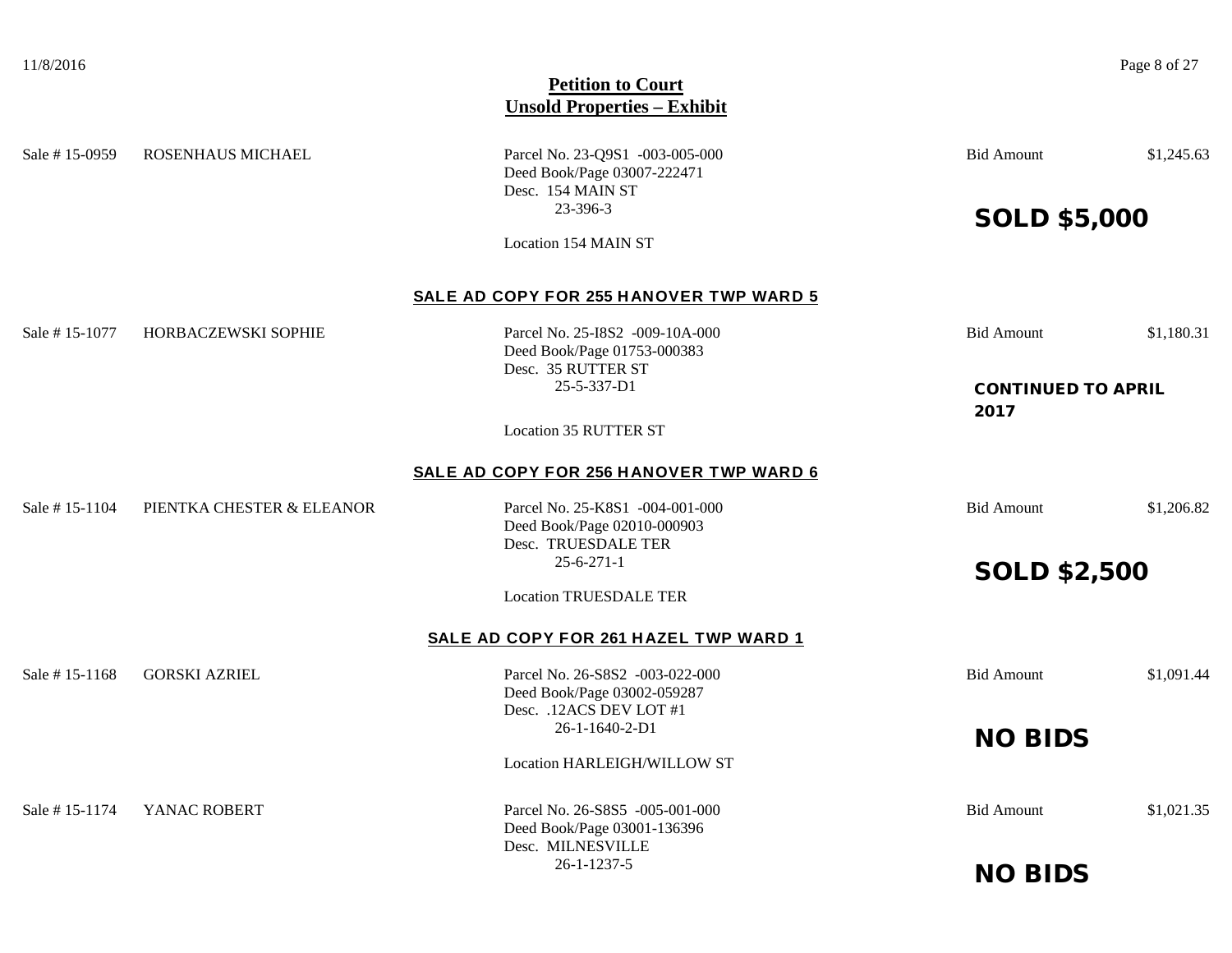Sale # 15-0959 ROSENHAUS MICHAEL Parcel No. 23-0951 -003-005-000 Bid Amount \$1,245.63 Deed Book/Page 03007-222471 Desc. 154 MAIN ST 23-396-3 SOLD \$5,000 Location 154 MAIN ST **SALE AD COPY FOR 255 HANOVER TWP WARD 5** Sale # 15-1077 HORBACZEWSKI SOPHIE Parcel No. 25-I8S2 -009-10A-000 Bid Amount \$1,180.31 Deed Book/Page 01753-000383 Desc. 35 RUTTER ST 25-5-337-D1 CONTINUED TO APRIL 2017 Location 35 RUTTER ST **SALE AD COPY FOR 256 HANOVER TWP WARD 6** Sale # 15-1104 PIENTKA CHESTER & ELEANOR Parcel No. 25-K8S1 -004-001-000 Bid Amount \$1,206.82 Deed Book/Page 02010-000903 Desc. TRUESDALE TER 25-6-271-1 SOLD \$2,500 Location TRUESDALE TER **SALE AD COPY FOR 261 HAZEL TWP WARD 1** Sale # 15-1168 GORSKI AZRIEL Parcel No. 26-S8S2 -003-022-000 Bid Amount \$1,091.44 Deed Book/Page 03002-059287 Desc. .12ACS DEV LOT #1 26-1-1640-2-D1 NO BIDS Location HARLEIGH/WILLOW ST Sale # 15-1174 YANAC ROBERT Parcel No. 26-S8S5 -005-001-000 Bid Amount \$1,021.35 Deed Book/Page 03001-136396 Desc. MILNESVILLE 26-1-1237-5 NO BIDS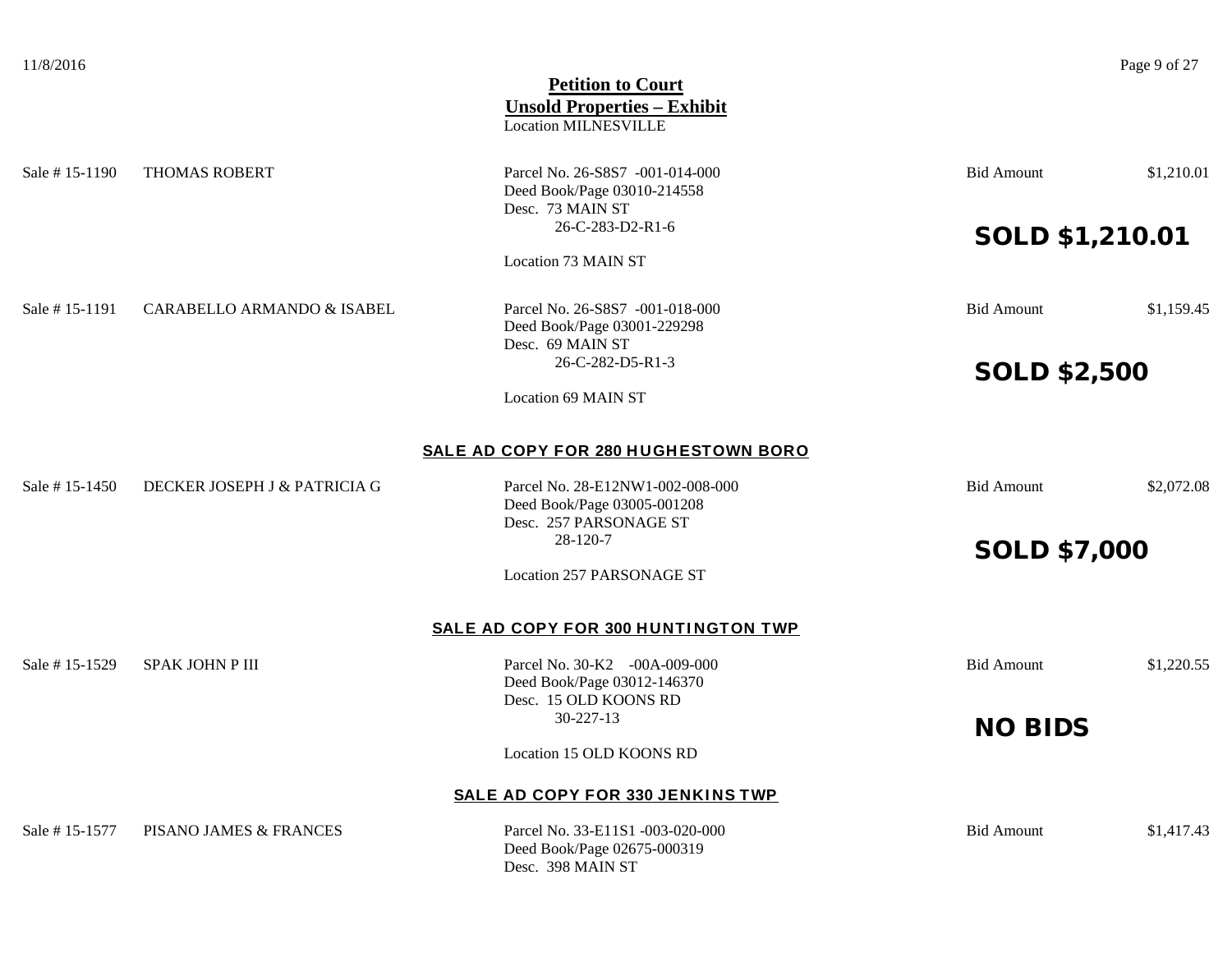| 11/8/2016      |                              | <b>Petition to Court</b><br><b>Unsold Properties - Exhibit</b><br><b>Location MILNESVILLE</b> |                        | Page 9 of 27 |
|----------------|------------------------------|-----------------------------------------------------------------------------------------------|------------------------|--------------|
| Sale #15-1190  | <b>THOMAS ROBERT</b>         | Parcel No. 26-S8S7 -001-014-000<br>Deed Book/Page 03010-214558<br>Desc. 73 MAIN ST            | <b>Bid Amount</b>      | \$1,210.01   |
|                |                              | 26-C-283-D2-R1-6                                                                              | <b>SOLD \$1,210.01</b> |              |
|                |                              | Location 73 MAIN ST                                                                           |                        |              |
| Sale # 15-1191 | CARABELLO ARMANDO & ISABEL   | Parcel No. 26-S8S7 -001-018-000<br>Deed Book/Page 03001-229298<br>Desc. 69 MAIN ST            | <b>Bid Amount</b>      | \$1,159.45   |
|                |                              | 26-C-282-D5-R1-3                                                                              | <b>SOLD \$2,500</b>    |              |
|                |                              | <b>Location 69 MAIN ST</b>                                                                    |                        |              |
|                |                              | SALE AD COPY FOR 280 HUGHESTOWN BORO                                                          |                        |              |
| Sale # 15-1450 | DECKER JOSEPH J & PATRICIA G | Parcel No. 28-E12NW1-002-008-000<br>Deed Book/Page 03005-001208<br>Desc. 257 PARSONAGE ST     | <b>Bid Amount</b>      | \$2,072.08   |
|                |                              | 28-120-7                                                                                      | <b>SOLD \$7,000</b>    |              |
|                |                              | <b>Location 257 PARSONAGE ST</b>                                                              |                        |              |
|                |                              | SALE AD COPY FOR 300 HUNTINGTON TWP                                                           |                        |              |
| Sale # 15-1529 | SPAK JOHN P III              | Parcel No. 30-K2 -00A-009-000<br>Deed Book/Page 03012-146370<br>Desc. 15 OLD KOONS RD         | <b>Bid Amount</b>      | \$1,220.55   |
|                |                              | 30-227-13                                                                                     |                        |              |
|                |                              | Location 15 OLD KOONS RD                                                                      | <b>NO BIDS</b>         |              |
|                |                              | SALE AD COPY FOR 330 JENKINS TWP                                                              |                        |              |
| Sale # 15-1577 | PISANO JAMES & FRANCES       | Parcel No. 33-E11S1 -003-020-000<br>Deed Book/Page 02675-000319<br>Desc. 398 MAIN ST          | <b>Bid Amount</b>      | \$1,417.43   |
|                |                              |                                                                                               |                        |              |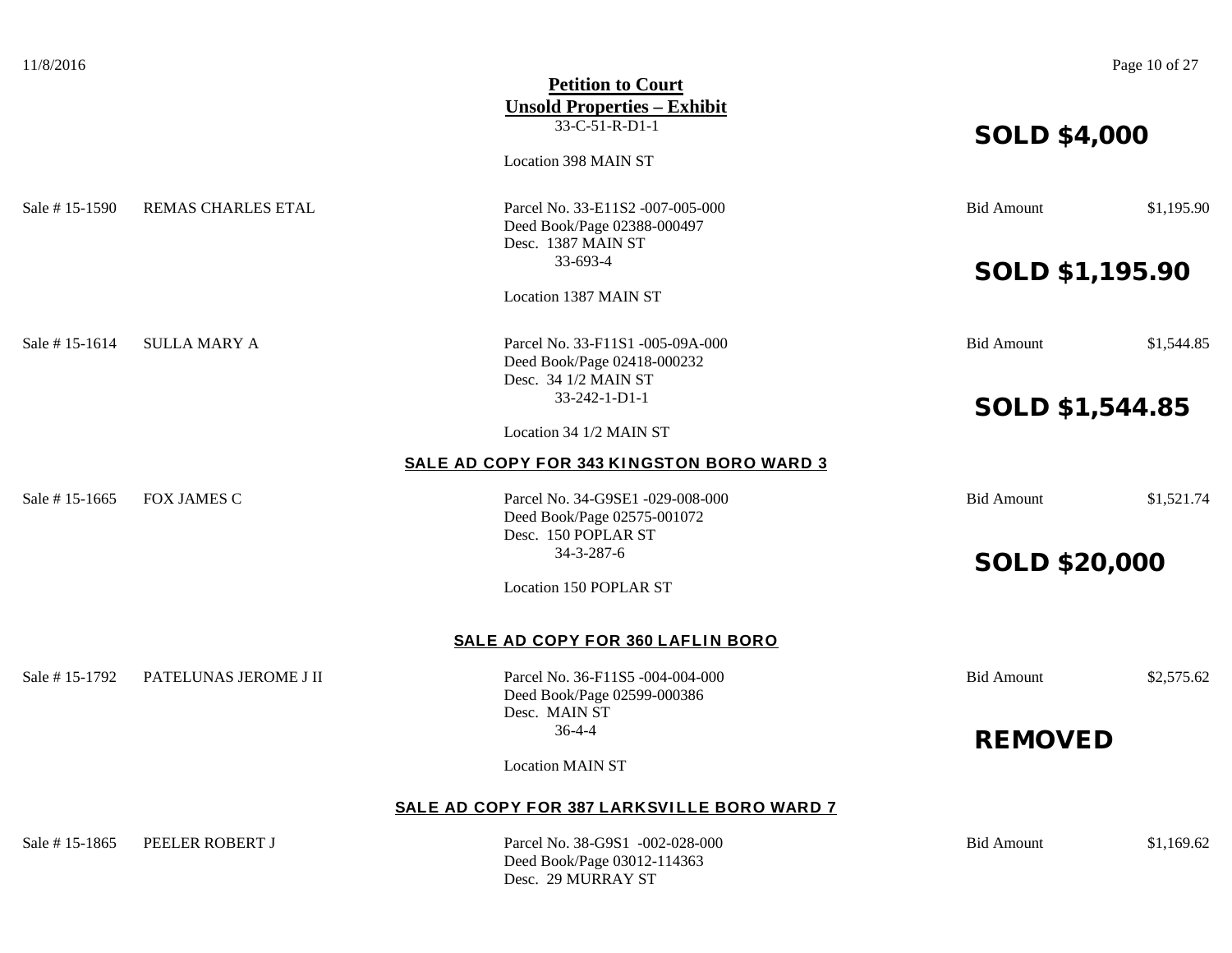| 11/8/2016     |                       |                                                                 |                        | Page 10 of 27 |
|---------------|-----------------------|-----------------------------------------------------------------|------------------------|---------------|
|               |                       | <b>Petition to Court</b>                                        |                        |               |
|               |                       | <b>Unsold Properties - Exhibit</b>                              |                        |               |
|               |                       | 33-C-51-R-D1-1                                                  |                        |               |
|               |                       |                                                                 | <b>SOLD \$4,000</b>    |               |
|               |                       | Location 398 MAIN ST                                            |                        |               |
| Sale #15-1590 | REMAS CHARLES ETAL    | Parcel No. 33-E11S2 -007-005-000                                | <b>Bid Amount</b>      | \$1,195.90    |
|               |                       | Deed Book/Page 02388-000497                                     |                        |               |
|               |                       | Desc. 1387 MAIN ST                                              |                        |               |
|               |                       | 33-693-4                                                        | <b>SOLD \$1,195.90</b> |               |
|               |                       | Location 1387 MAIN ST                                           |                        |               |
|               |                       |                                                                 |                        |               |
| Sale #15-1614 | <b>SULLA MARY A</b>   | Parcel No. 33-F11S1 -005-09A-000                                | <b>Bid Amount</b>      | \$1,544.85    |
|               |                       | Deed Book/Page 02418-000232                                     |                        |               |
|               |                       | Desc. 34 1/2 MAIN ST                                            |                        |               |
|               |                       | 33-242-1-D1-1                                                   | <b>SOLD \$1,544.85</b> |               |
|               |                       | Location 34 1/2 MAIN ST                                         |                        |               |
|               |                       | <b>SALE AD COPY FOR 343 KINGSTON BORO WARD 3</b>                |                        |               |
| Sale #15-1665 | <b>FOX JAMES C</b>    | Parcel No. 34-G9SE1 -029-008-000                                | <b>Bid Amount</b>      | \$1,521.74    |
|               |                       | Deed Book/Page 02575-001072                                     |                        |               |
|               |                       | Desc. 150 POPLAR ST                                             |                        |               |
|               |                       | 34-3-287-6                                                      | <b>SOLD \$20,000</b>   |               |
|               |                       | Location 150 POPLAR ST                                          |                        |               |
|               |                       | SALE AD COPY FOR 360 LAFLIN BORO                                |                        |               |
| Sale #15-1792 | PATELUNAS JEROME J II |                                                                 | <b>Bid Amount</b>      | \$2,575.62    |
|               |                       | Parcel No. 36-F11S5 -004-004-000<br>Deed Book/Page 02599-000386 |                        |               |
|               |                       | Desc. MAIN ST                                                   |                        |               |
|               |                       | $36 - 4 - 4$                                                    |                        |               |
|               |                       |                                                                 | <b>REMOVED</b>         |               |
|               |                       | <b>Location MAIN ST</b>                                         |                        |               |
|               |                       | SALE AD COPY FOR 387 LARKSVILLE BORO WARD 7                     |                        |               |
| Sale #15-1865 | PEELER ROBERT J       | Parcel No. 38-G9S1 -002-028-000                                 | <b>Bid Amount</b>      | \$1,169.62    |

Deed Book/Page 03012-114363 Desc. 29 MURRAY ST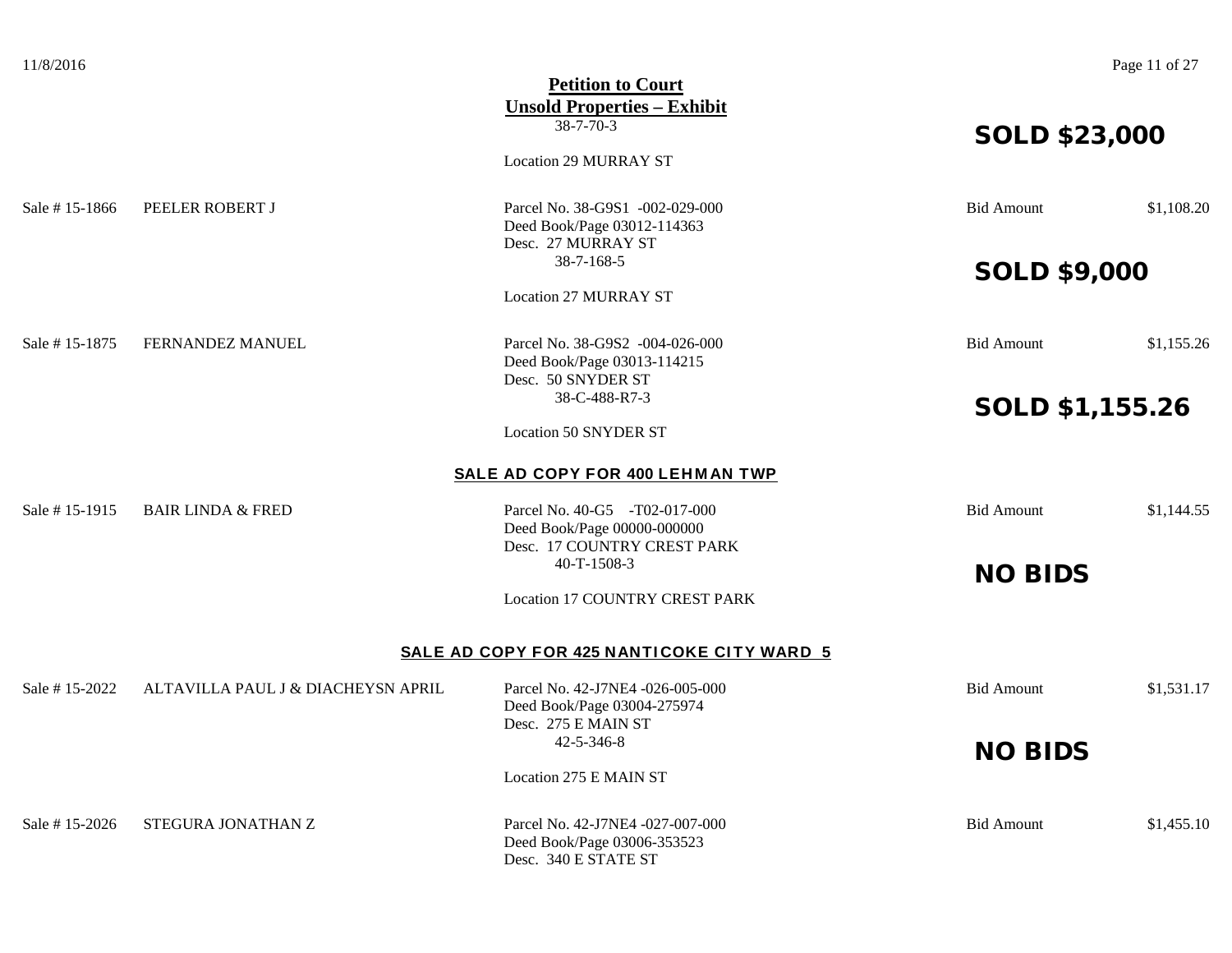| 11/8/2016     |                                    |                                            |                        | Page 11 of 27 |
|---------------|------------------------------------|--------------------------------------------|------------------------|---------------|
|               |                                    | <b>Petition to Court</b>                   |                        |               |
|               |                                    | <b>Unsold Properties - Exhibit</b>         |                        |               |
|               |                                    | $38 - 7 - 70 - 3$                          | <b>SOLD \$23,000</b>   |               |
|               |                                    |                                            |                        |               |
|               |                                    | <b>Location 29 MURRAY ST</b>               |                        |               |
| Sale #15-1866 | PEELER ROBERT J                    | Parcel No. 38-G9S1 -002-029-000            | <b>Bid Amount</b>      | \$1,108.20    |
|               |                                    | Deed Book/Page 03012-114363                |                        |               |
|               |                                    | Desc. 27 MURRAY ST                         |                        |               |
|               |                                    | $38 - 7 - 168 - 5$                         |                        |               |
|               |                                    |                                            | <b>SOLD \$9,000</b>    |               |
|               |                                    | <b>Location 27 MURRAY ST</b>               |                        |               |
| Sale #15-1875 | FERNANDEZ MANUEL                   | Parcel No. 38-G9S2 -004-026-000            | <b>Bid Amount</b>      | \$1,155.26    |
|               |                                    | Deed Book/Page 03013-114215                |                        |               |
|               |                                    | Desc. 50 SNYDER ST                         |                        |               |
|               |                                    | 38-C-488-R7-3                              |                        |               |
|               |                                    |                                            | <b>SOLD \$1,155.26</b> |               |
|               |                                    | <b>Location 50 SNYDER ST</b>               |                        |               |
|               |                                    | SALE AD COPY FOR 400 LEHMAN TWP            |                        |               |
| Sale #15-1915 | <b>BAIR LINDA &amp; FRED</b>       | Parcel No. 40-G5 -T02-017-000              | <b>Bid Amount</b>      | \$1,144.55    |
|               |                                    | Deed Book/Page 00000-000000                |                        |               |
|               |                                    | Desc. 17 COUNTRY CREST PARK                |                        |               |
|               |                                    | 40-T-1508-3                                | <b>NO BIDS</b>         |               |
|               |                                    | Location 17 COUNTRY CREST PARK             |                        |               |
|               |                                    | SALE AD COPY FOR 425 NANTICOKE CITY WARD 5 |                        |               |
| Sale #15-2022 | ALTAVILLA PAUL J & DIACHEYSN APRIL | Parcel No. 42-J7NE4 -026-005-000           | <b>Bid Amount</b>      | \$1,531.17    |
|               |                                    | Deed Book/Page 03004-275974                |                        |               |
|               |                                    | Desc. 275 E MAIN ST                        |                        |               |
|               |                                    | 42-5-346-8                                 |                        |               |
|               |                                    |                                            | <b>NO BIDS</b>         |               |
|               |                                    | Location 275 E MAIN ST                     |                        |               |
| Sale #15-2026 | STEGURA JONATHAN Z                 | Parcel No. 42-J7NE4 -027-007-000           | <b>Bid Amount</b>      | \$1,455.10    |
|               |                                    | Deed Book/Page 03006-353523                |                        |               |
|               |                                    | Desc. 340 E STATE ST                       |                        |               |
|               |                                    |                                            |                        |               |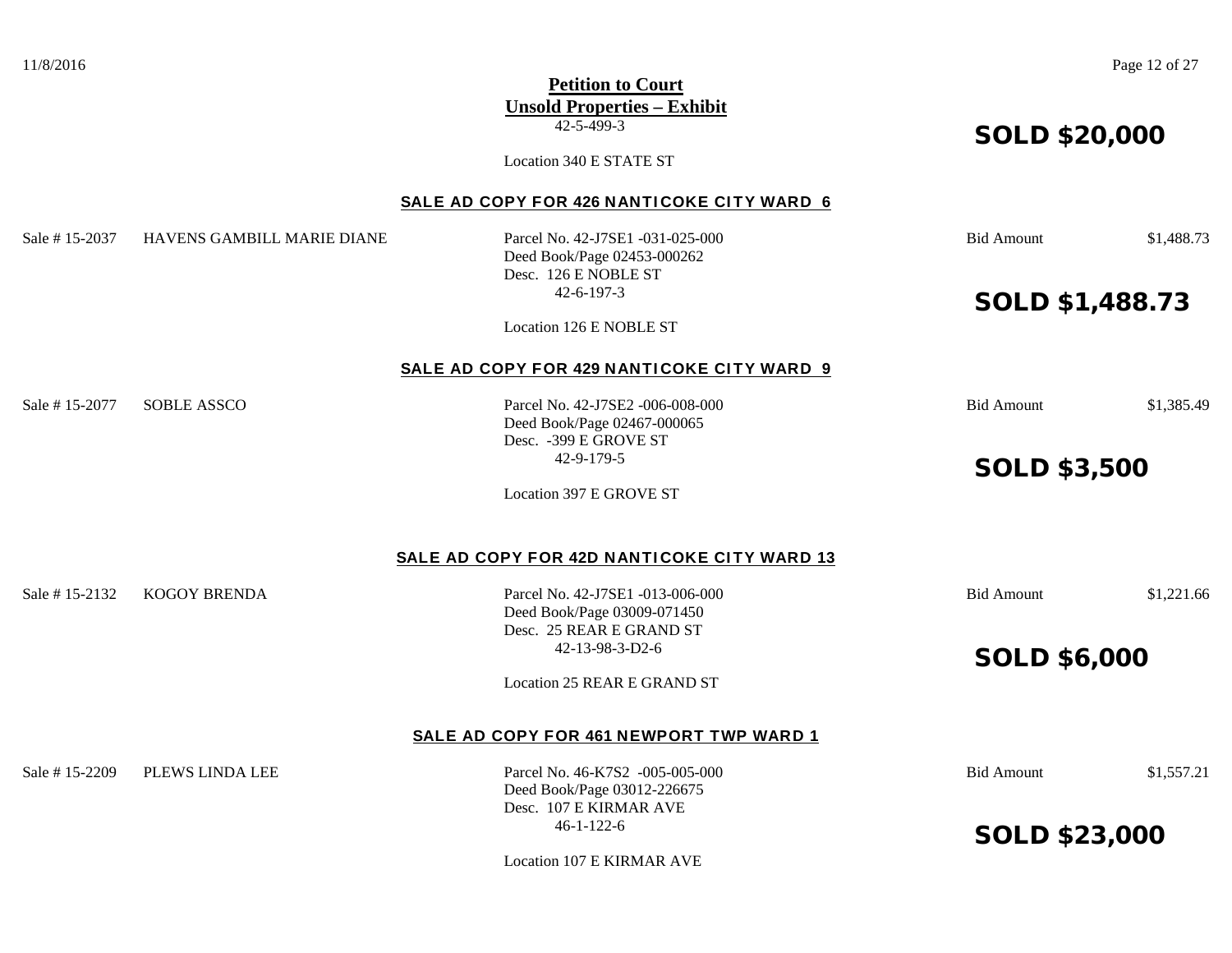11/8/2016 Page 12 of 27 **Petition to Court Unsold Properties – Exhibit** 42-5-499-3 SOLD \$20,000 Location 340 E STATE ST **SALE AD COPY FOR 426 NANTICOKE CITY WARD 6** Sale # 15-2037 HAVENS GAMBILL MARIE DIANE Parcel No. 42-J7SE1 -031-025-000 Bid Amount \$1,488.73 Deed Book/Page 02453-000262 Desc. 126 E NOBLE ST 42-6-197-3 SOLD \$1,488.73 Location 126 E NOBLE ST **SALE AD COPY FOR 429 NANTICOKE CITY WARD 9** Sale # 15-2077 SOBLE ASSCO Parcel No. 42-J7SE2 -006-008-000 Bid Amount \$1,385.49 Deed Book/Page 02467-000065 Desc. -399 E GROVE ST 42-9-179-5 SOLD \$3,500 Location 397 E GROVE ST **SALE AD COPY FOR 42D NANTICOKE CITY WARD 13** Sale # 15-2132 KOGOY BRENDA Parcel No. 42-J7SE1 -013-006-000 Bid Amount \$1,221.66 Deed Book/Page 03009-071450 Desc. 25 REAR E GRAND ST 42-13-98-3-D2-6 SOLD \$6,000 Location 25 REAR E GRAND ST **SALE AD COPY FOR 461 NEWPORT TWP WARD 1** Sale # 15-2209 PLEWS LINDA LEE Parcel No. 46-K7S2 -005-005-000 Bid Amount \$1,557.21 Deed Book/Page 03012-226675 Desc. 107 E KIRMAR AVE 46-1-122-6 SOLD \$23,000 Location 107 E KIRMAR AVE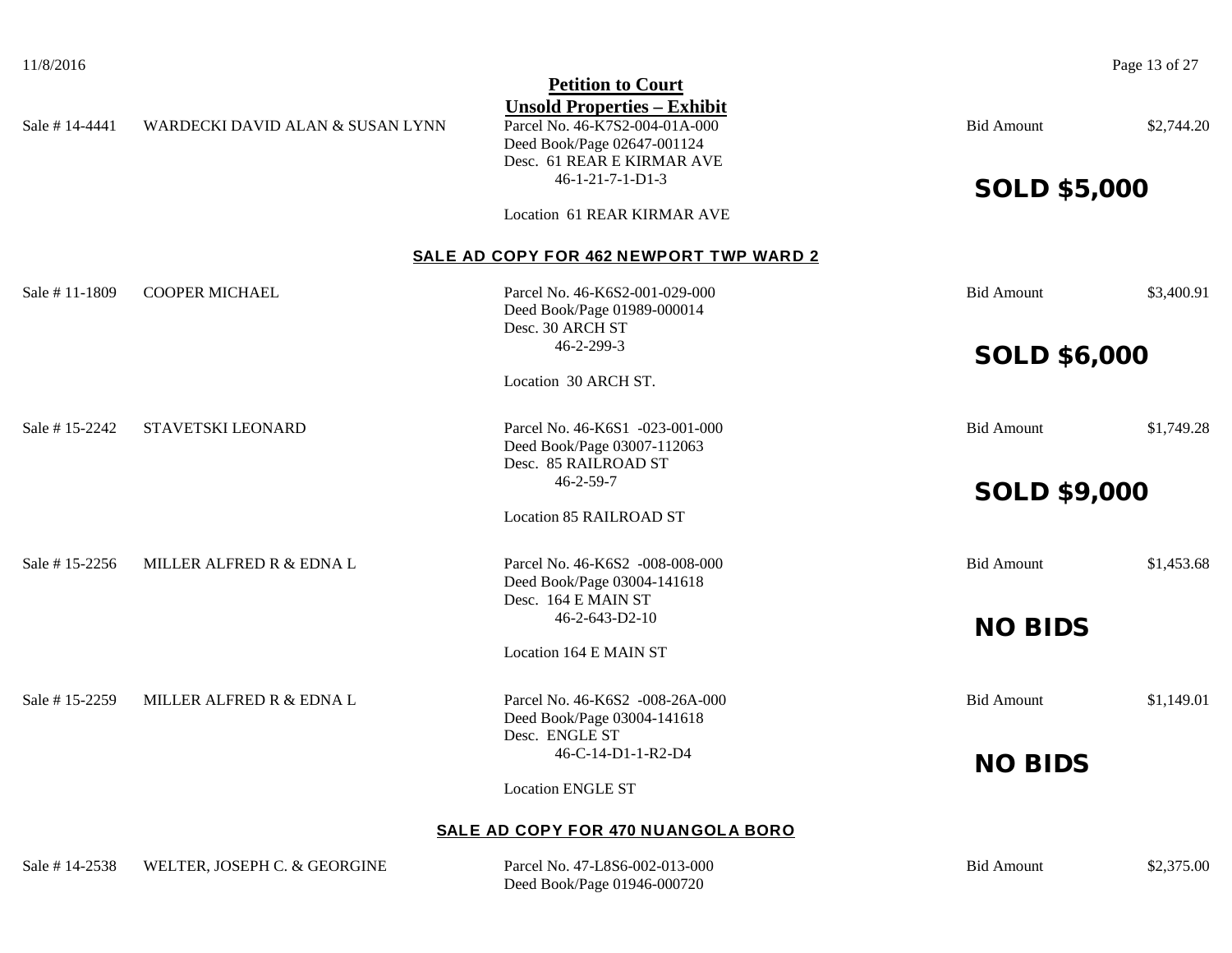|                |                                  | <b>Petition to Court</b>                                                                                                                                            |                     |            |
|----------------|----------------------------------|---------------------------------------------------------------------------------------------------------------------------------------------------------------------|---------------------|------------|
| Sale #14-4441  | WARDECKI DAVID ALAN & SUSAN LYNN | <b>Unsold Properties - Exhibit</b><br>Parcel No. 46-K7S2-004-01A-000<br>Deed Book/Page 02647-001124<br>Desc. 61 REAR E KIRMAR AVE<br>$46 - 1 - 21 - 7 - 1 - D1 - 3$ | <b>Bid Amount</b>   | \$2,744.20 |
|                |                                  |                                                                                                                                                                     | <b>SOLD \$5,000</b> |            |
|                |                                  | Location 61 REAR KIRMAR AVE                                                                                                                                         |                     |            |
|                |                                  | SALE AD COPY FOR 462 NEWPORT TWP WARD 2                                                                                                                             |                     |            |
| Sale #11-1809  | <b>COOPER MICHAEL</b>            | Parcel No. 46-K6S2-001-029-000<br>Deed Book/Page 01989-000014<br>Desc. 30 ARCH ST                                                                                   | <b>Bid Amount</b>   | \$3,400.91 |
|                |                                  | 46-2-299-3                                                                                                                                                          | <b>SOLD \$6,000</b> |            |
|                |                                  | Location 30 ARCH ST.                                                                                                                                                |                     |            |
| Sale #15-2242  | STAVETSKI LEONARD                | Parcel No. 46-K6S1 -023-001-000<br>Deed Book/Page 03007-112063<br>Desc. 85 RAILROAD ST                                                                              | <b>Bid Amount</b>   | \$1,749.28 |
|                |                                  | $46 - 2 - 59 - 7$                                                                                                                                                   | <b>SOLD \$9,000</b> |            |
|                |                                  | <b>Location 85 RAILROAD ST</b>                                                                                                                                      |                     |            |
| Sale #15-2256  | MILLER ALFRED R & EDNA L         | Parcel No. 46-K6S2 -008-008-000<br>Deed Book/Page 03004-141618<br>Desc. 164 E MAIN ST                                                                               | <b>Bid Amount</b>   | \$1,453.68 |
|                |                                  | 46-2-643-D2-10                                                                                                                                                      | <b>NO BIDS</b>      |            |
|                |                                  | Location 164 E MAIN ST                                                                                                                                              |                     |            |
| Sale #15-2259  | MILLER ALFRED R & EDNA L         | Parcel No. 46-K6S2 -008-26A-000<br>Deed Book/Page 03004-141618<br>Desc. ENGLE ST                                                                                    | <b>Bid Amount</b>   | \$1,149.01 |
|                |                                  | 46-C-14-D1-1-R2-D4                                                                                                                                                  | <b>NO BIDS</b>      |            |
|                |                                  | <b>Location ENGLE ST</b>                                                                                                                                            |                     |            |
|                |                                  | SALE AD COPY FOR 470 NUANGOLA BORO                                                                                                                                  |                     |            |
| Sale # 14-2538 | WELTER, JOSEPH C. & GEORGINE     | Parcel No. 47-L8S6-002-013-000<br>Deed Book/Page 01946-000720                                                                                                       | <b>Bid Amount</b>   | \$2,375.00 |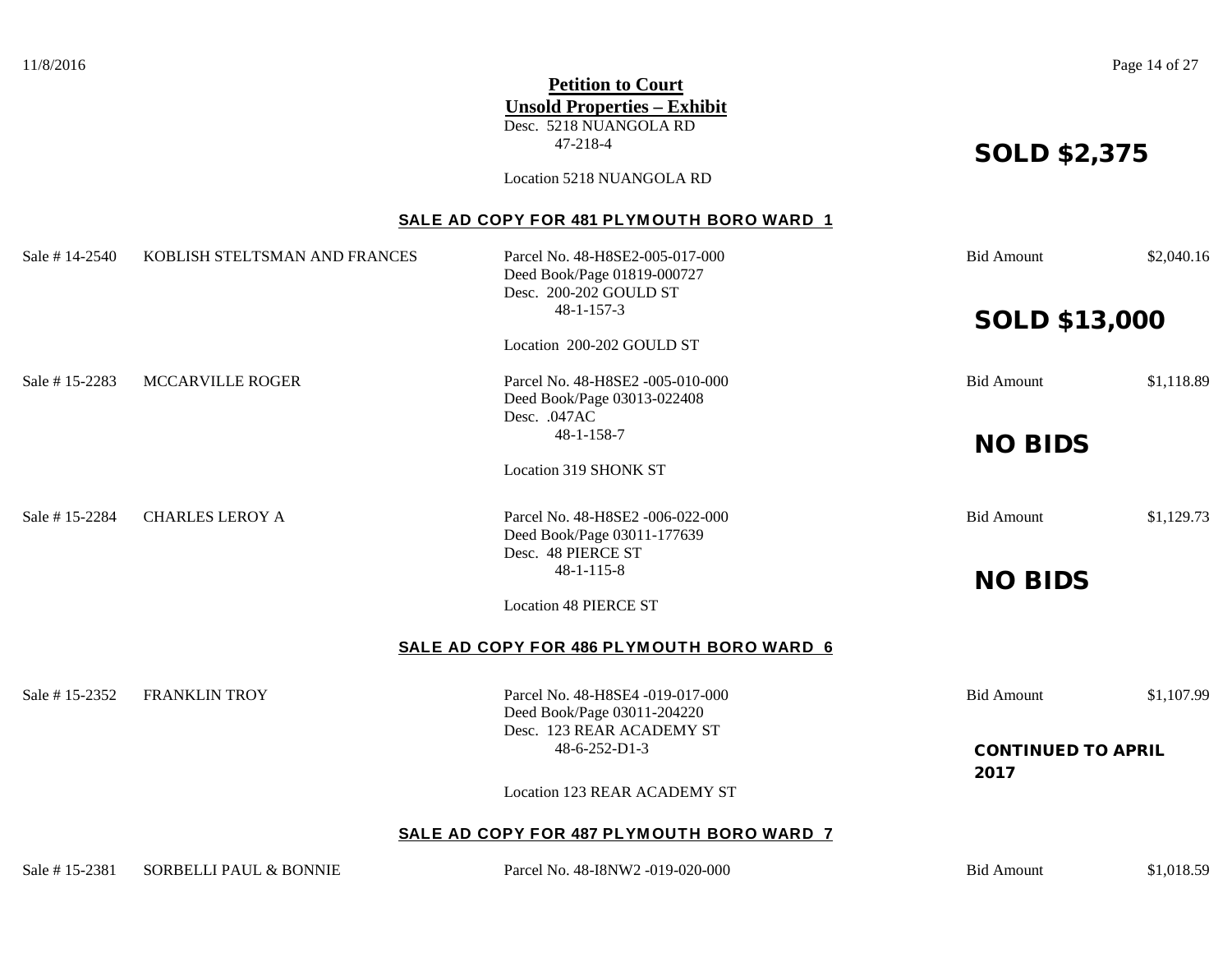11/8/2016 **Page 14 of 27 Petition to Court Unsold Properties – Exhibit** Desc. 5218 NUANGOLA RD 47-218-4<br> **SOLD \$2,375** Location 5218 NUANGOLA RD **SALE AD COPY FOR 481 PLYMOUTH BORO WARD 1** Sale # 14-2540 KOBLISH STELTSMAN AND FRANCES Parcel No. 48-H8SE2-005-017-000 Bid Amount \$2,040.16 Deed Book/Page 01819-000727 Desc. 200-202 GOULD ST 48-1-157-3 **SOLD \$13,000** Location 200-202 GOULD ST Sale # 15-2283 MCCARVILLE ROGER Parcel No. 48-H8SE2 -005-010-000 Bid Amount \$1,118.89 Deed Book/Page 03013-022408 Desc. .047AC 48-1-158-7 **NO BIDS** Location 319 SHONK ST Sale # 15-2284 CHARLES LEROY A Parcel No. 48-H8SE2 -006-022-000 Bid Amount \$1,129.73 Deed Book/Page 03011-177639 Desc. 48 PIERCE ST 48-1-115-8 **NO BIDS** Location 48 PIERCE ST **SALE AD COPY FOR 486 PLYMOUTH BORO WARD 6** Sale # 15-2352 FRANKLIN TROY Parcel No. 48-H8SE4 -019-017-000 Bid Amount \$1,107.99 Deed Book/Page 03011-204220 Desc. 123 REAR ACADEMY ST 48-6-252-D1-3 CONTINUED TO APRIL 2017 Location 123 REAR ACADEMY ST **SALE AD COPY FOR 487 PLYMOUTH BORO WARD 7**

Sale # 15-2381 SORBELLI PAUL & BONNIE Parcel No. 48-I8NW2 -019-020-000 Bid Amount \$1,018.59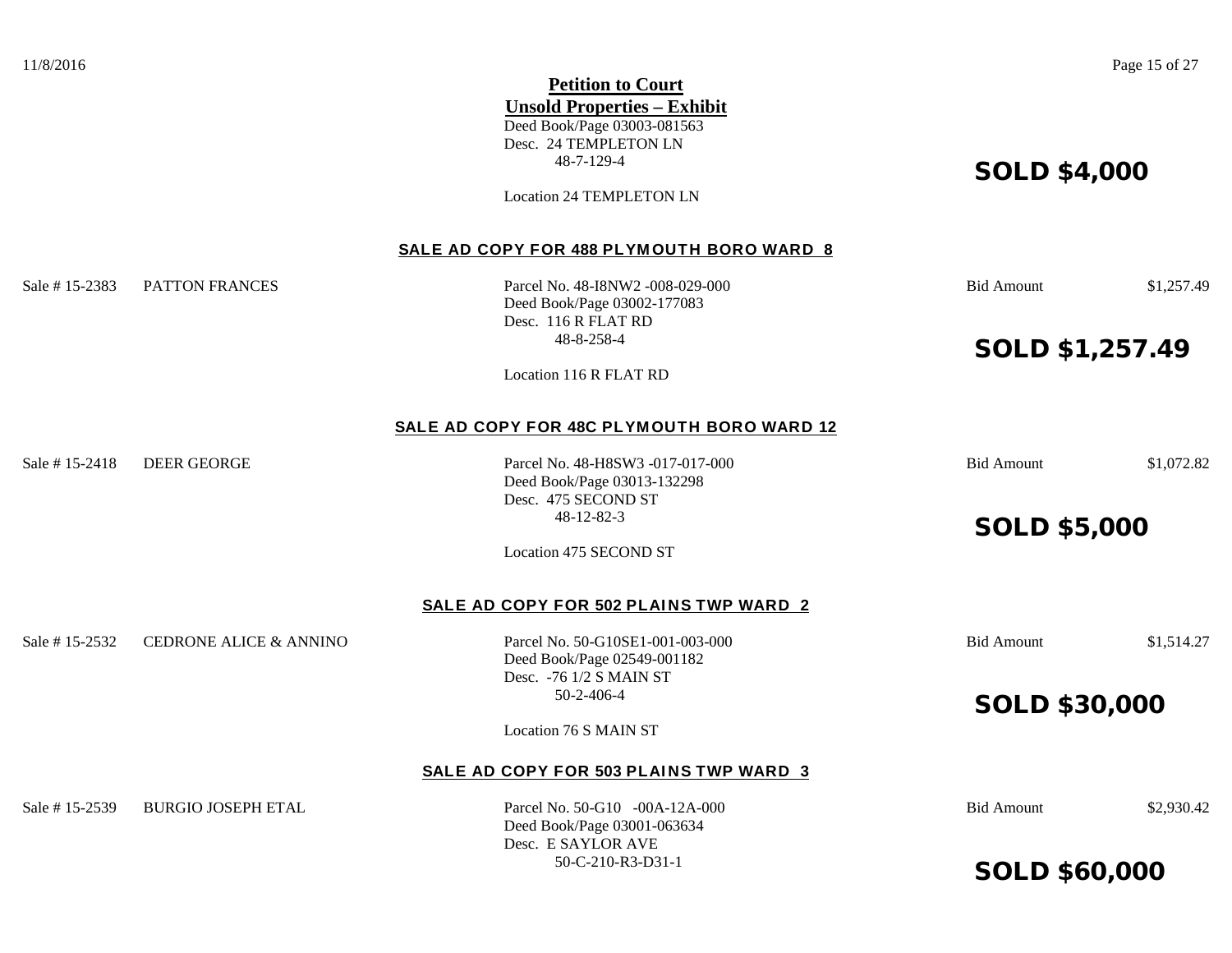Deed Book/Page 03003-081563 Desc. 24 TEMPLETON LN 48-7-129-4 **SOLD \$4,000** 

Location 24 TEMPLETON LN

#### **SALE AD COPY FOR 488 PLYMOUTH BORO WARD 8**

Sale # 15-2383 PATTON FRANCES Parcel No. 48-I8NW2 -008-029-000 Bid Amount \$1,257.49

Deed Book/Page 03002-177083 Desc. 116 R FLAT RD

48-8-258-4<br> **SOLD \$1,257.49** 

Location 116 R FLAT RD

#### **SALE AD COPY FOR 48C PLYMOUTH BORO WARD 12**

Sale # 15-2418 DEER GEORGE Parcel No. 48-H8SW3 -017-017-000 Bid Amount \$1,072.82

Deed Book/Page 03013-132298 Desc. 475 SECOND ST

Location 475 SECOND ST

#### SALE AD COPY FOR 502 PLAINS TWP WARD 2

Sale # 15-2532 CEDRONE ALICE & ANNINO Parcel No. 50-G10SE1-001-003-000 Bid Amount \$1,514.27

Deed Book/Page 02549-001182 Desc. -76 1/2 S MAIN ST

Location 76 S MAIN ST

#### **SALE AD COPY FOR 503 PLAINS TWP WARD 3**

Sale # 15-2539 BURGIO JOSEPH ETAL Parcel No. 50-G10 -00A-12A-000 Bid Amount \$2,930.42

Deed Book/Page 03001-063634 Desc. E SAYLOR AVE

# 48-12-82-3 SOLD \$5,000

50-2-406-4 SOLD \$30,000

50-C-210-R3-D31-1 SOLD \$60,000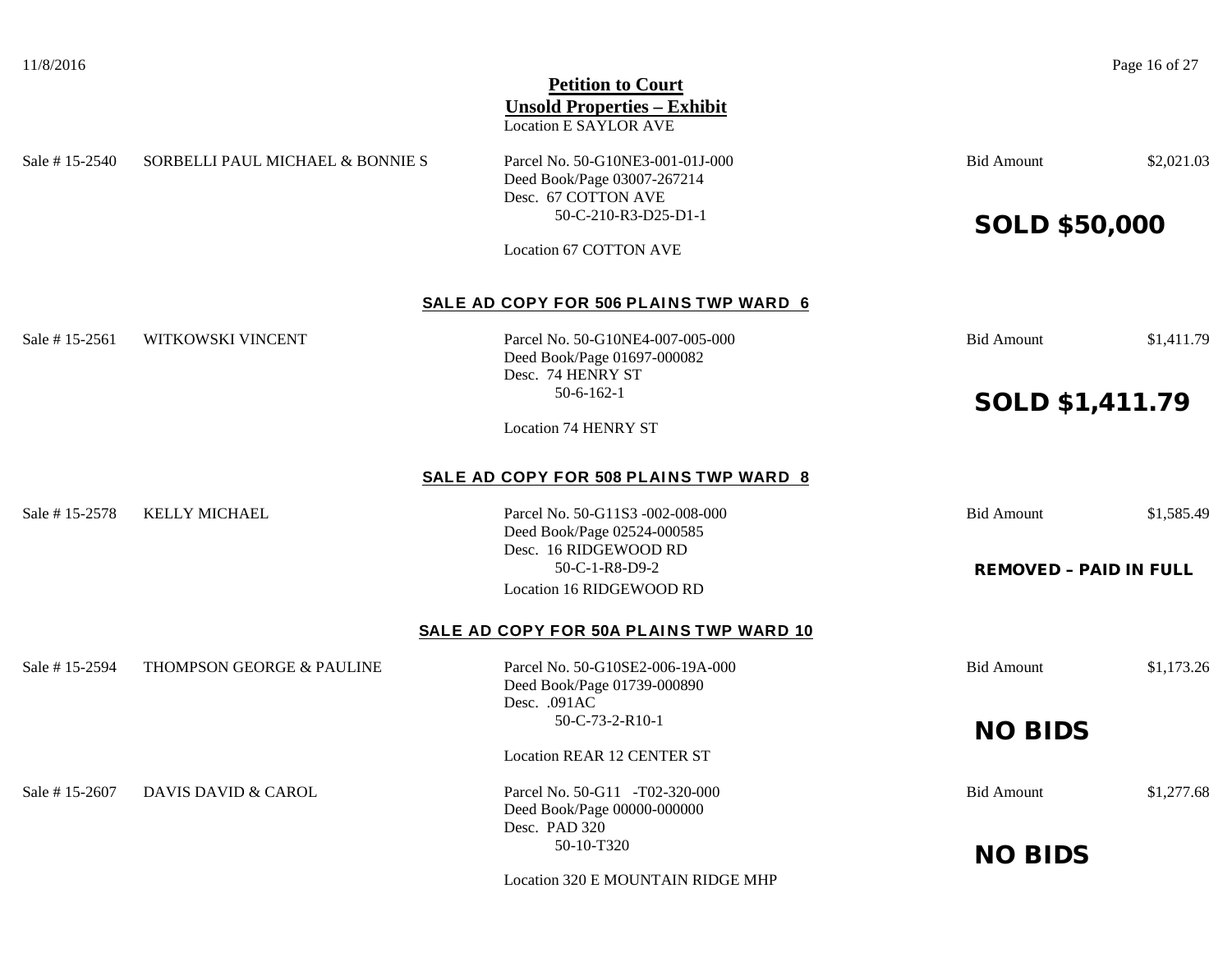| 11/8/2016     |                                  | <b>Petition to Court</b><br><b>Unsold Properties - Exhibit</b><br><b>Location E SAYLOR AVE</b> |                               | Page 16 of 27 |
|---------------|----------------------------------|------------------------------------------------------------------------------------------------|-------------------------------|---------------|
| Sale #15-2540 | SORBELLI PAUL MICHAEL & BONNIE S | Parcel No. 50-G10NE3-001-01J-000<br>Deed Book/Page 03007-267214<br>Desc. 67 COTTON AVE         | <b>Bid Amount</b>             | \$2,021.03    |
|               |                                  | 50-C-210-R3-D25-D1-1                                                                           | <b>SOLD \$50,000</b>          |               |
|               |                                  | Location 67 COTTON AVE                                                                         |                               |               |
|               |                                  | SALE AD COPY FOR 506 PLAINS TWP WARD 6                                                         |                               |               |
| Sale #15-2561 | WITKOWSKI VINCENT                | Parcel No. 50-G10NE4-007-005-000<br>Deed Book/Page 01697-000082<br>Desc. 74 HENRY ST           | <b>Bid Amount</b>             | \$1,411.79    |
|               |                                  | $50 - 6 - 162 - 1$                                                                             | <b>SOLD \$1,411.79</b>        |               |
|               |                                  | <b>Location 74 HENRY ST</b>                                                                    |                               |               |
|               |                                  | SALE AD COPY FOR 508 PLAINS TWP WARD 8                                                         |                               |               |
| Sale #15-2578 | <b>KELLY MICHAEL</b>             | Parcel No. 50-G11S3 -002-008-000<br>Deed Book/Page 02524-000585<br>Desc. 16 RIDGEWOOD RD       | <b>Bid Amount</b>             | \$1,585.49    |
|               |                                  | 50-C-1-R8-D9-2                                                                                 | <b>REMOVED - PAID IN FULL</b> |               |
|               |                                  | Location 16 RIDGEWOOD RD                                                                       |                               |               |
|               |                                  | <b>SALE AD COPY FOR 50A PLAINS TWP WARD 10</b>                                                 |                               |               |
| Sale #15-2594 | THOMPSON GEORGE & PAULINE        | Parcel No. 50-G10SE2-006-19A-000<br>Deed Book/Page 01739-000890<br>Desc. .091AC                | <b>Bid Amount</b>             | \$1,173.26    |
|               |                                  | 50-C-73-2-R10-1                                                                                | <b>NO BIDS</b>                |               |
|               |                                  | <b>Location REAR 12 CENTER ST</b>                                                              |                               |               |
| Sale #15-2607 | <b>DAVIS DAVID &amp; CAROL</b>   | Parcel No. 50-G11 -T02-320-000<br>Deed Book/Page 00000-000000<br>Desc. PAD 320                 | <b>Bid Amount</b>             | \$1,277.68    |
|               |                                  | 50-10-T320                                                                                     | <b>NO BIDS</b>                |               |
|               |                                  | Location 320 E MOUNTAIN RIDGE MHP                                                              |                               |               |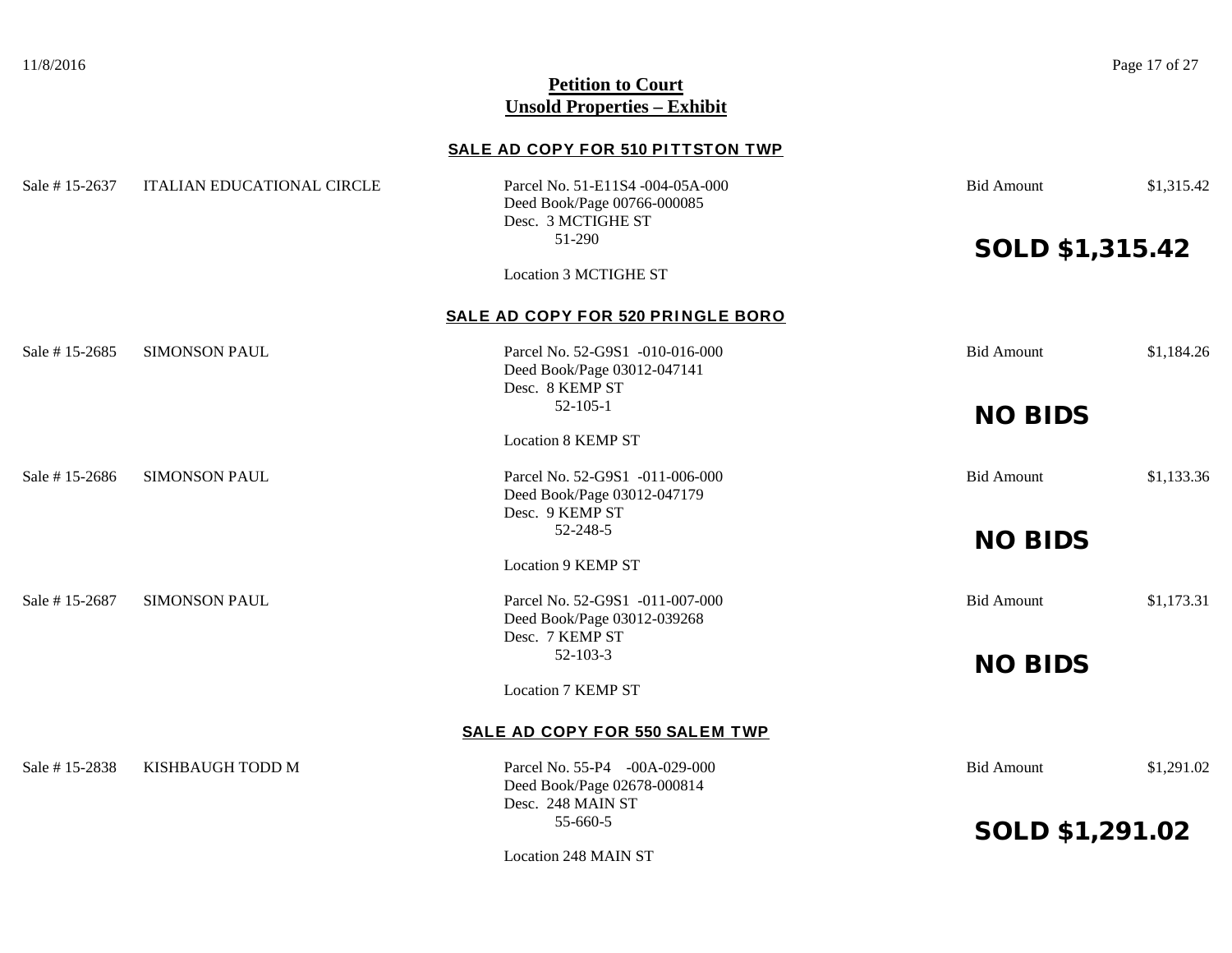11/8/2016 **Page 17 of 27** 

## **Petition to Court Unsold Properties – Exhibit**

## **SALE AD COPY FOR 510 PITTSTON TWP**

| Sale #15-2637 | <b>ITALIAN EDUCATIONAL CIRCLE</b> | Parcel No. 51-E11S4 -004-05A-000<br>Deed Book/Page 00766-000085<br>Desc. 3 MCTIGHE ST | <b>Bid Amount</b>      | \$1,315.42 |
|---------------|-----------------------------------|---------------------------------------------------------------------------------------|------------------------|------------|
|               |                                   | 51-290                                                                                | <b>SOLD \$1,315.42</b> |            |
|               |                                   | <b>Location 3 MCTIGHE ST</b>                                                          |                        |            |
|               |                                   | SALE AD COPY FOR 520 PRINGLE BORO                                                     |                        |            |
| Sale #15-2685 | <b>SIMONSON PAUL</b>              | Parcel No. 52-G9S1 -010-016-000<br>Deed Book/Page 03012-047141<br>Desc. 8 KEMP ST     | <b>Bid Amount</b>      | \$1,184.26 |
|               |                                   | $52 - 105 - 1$                                                                        | <b>NO BIDS</b>         |            |
|               |                                   | <b>Location 8 KEMP ST</b>                                                             |                        |            |
| Sale #15-2686 | <b>SIMONSON PAUL</b>              | Parcel No. 52-G9S1 -011-006-000<br>Deed Book/Page 03012-047179<br>Desc. 9 KEMP ST     | <b>Bid Amount</b>      | \$1,133.36 |
|               |                                   | 52-248-5                                                                              | <b>NO BIDS</b>         |            |
|               |                                   | <b>Location 9 KEMP ST</b>                                                             |                        |            |
| Sale #15-2687 | <b>SIMONSON PAUL</b>              | Parcel No. 52-G9S1 -011-007-000<br>Deed Book/Page 03012-039268<br>Desc. 7 KEMP ST     | <b>Bid Amount</b>      | \$1,173.31 |
|               |                                   | $52 - 103 - 3$                                                                        | <b>NO BIDS</b>         |            |
|               |                                   | <b>Location 7 KEMP ST</b>                                                             |                        |            |
|               |                                   | SALE AD COPY FOR 550 SALEM TWP                                                        |                        |            |
| Sale #15-2838 | KISHBAUGH TODD M                  | Parcel No. 55-P4 -00A-029-000<br>Deed Book/Page 02678-000814<br>Desc. 248 MAIN ST     | <b>Bid Amount</b>      | \$1,291.02 |
|               |                                   | 55-660-5                                                                              | <b>SOLD \$1,291.02</b> |            |
|               |                                   | Location 248 MAIN ST                                                                  |                        |            |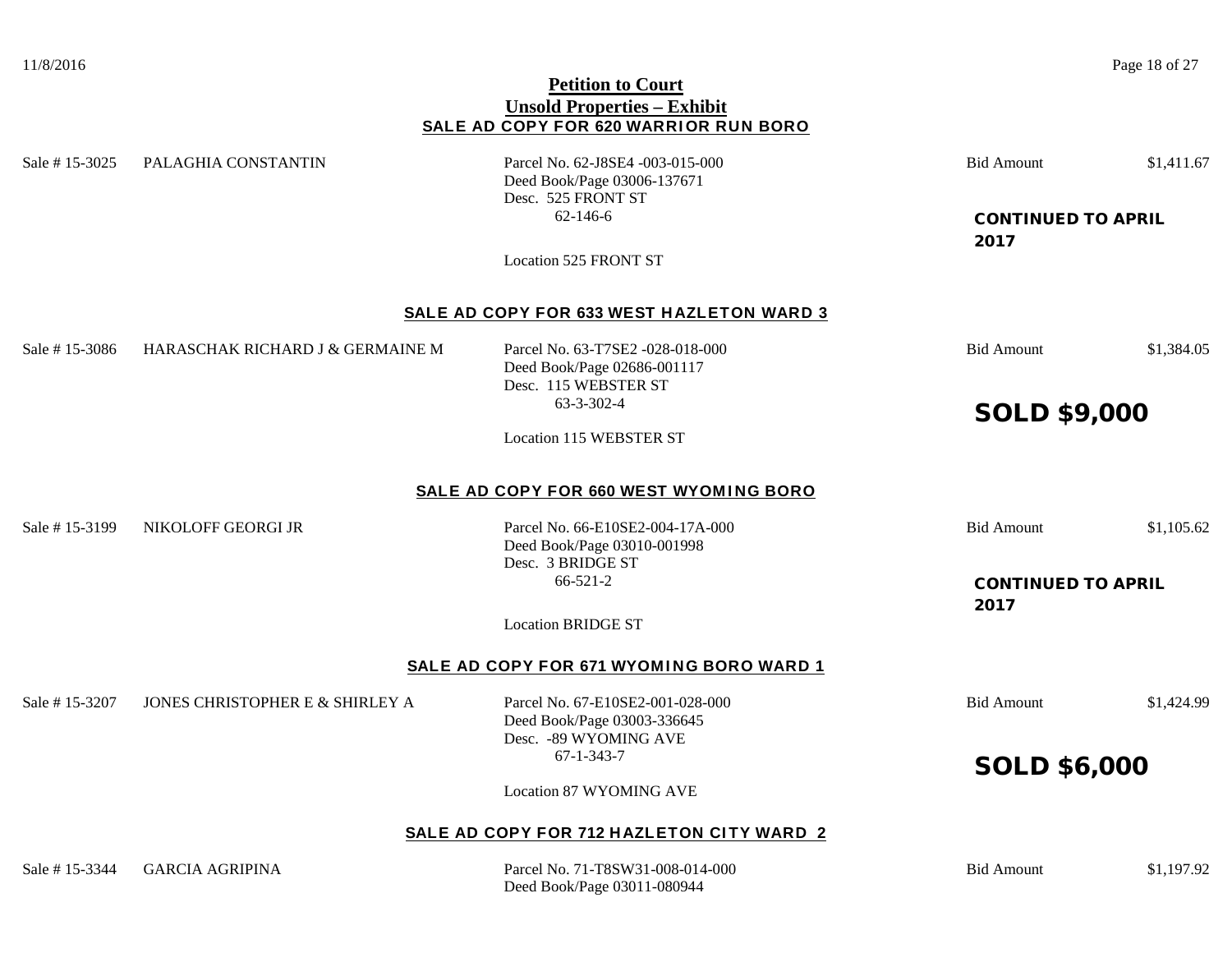## **Petition to Court Unsold Properties – Exhibit SALE AD COPY FOR 620 WARRIOR RUN BORO**

Sale # 15-3025 PALAGHIA CONSTANTIN Parcel No. 62-J8SE4 -003-015-000 Bid Amount \$1,411.67 Deed Book/Page 03006-137671 Desc. 525 FRONT ST 62-146-6 CONTINUED TO APRIL 2017 Location 525 FRONT ST **SALE AD COPY FOR 633 WEST HAZLETON WARD 3** Sale # 15-3086 HARASCHAK RICHARD J & GERMAINE M Parcel No. 63-T7SE2 -028-018-000 Bid Amount \$1,384.05 Deed Book/Page 02686-001117 Desc. 115 WEBSTER ST 63-3-302-4 SOLD \$9,000 Location 115 WEBSTER ST **SALE AD COPY FOR 660 WEST WYOMING BORO** Sale # 15-3199 NIKOLOFF GEORGI JR Parcel No. 66-E10SE2-004-17A-000 Bid Amount \$1,105.62 Deed Book/Page 03010-001998 Desc. 3 BRIDGE ST 66-521-2 CONTINUED TO APRIL 2017 Location BRIDGE ST **SALE AD COPY FOR 671 WYOMING BORO WARD 1** Sale # 15-3207 JONES CHRISTOPHER E & SHIRLEY A Parcel No. 67-E10SE2-001-028-000 Bid Amount \$1,424.99 Deed Book/Page 03003-336645 Desc. -89 WYOMING AVE 67-1-343-7 SOLD \$6,000 Location 87 WYOMING AVE **SALE AD COPY FOR 712 HAZLETON CITY WARD 2**

Sale # 15-3344 GARCIA AGRIPINA Parcel No. 71-T8SW31-008-014-000 Bid Amount \$1,197.92

Deed Book/Page 03011-080944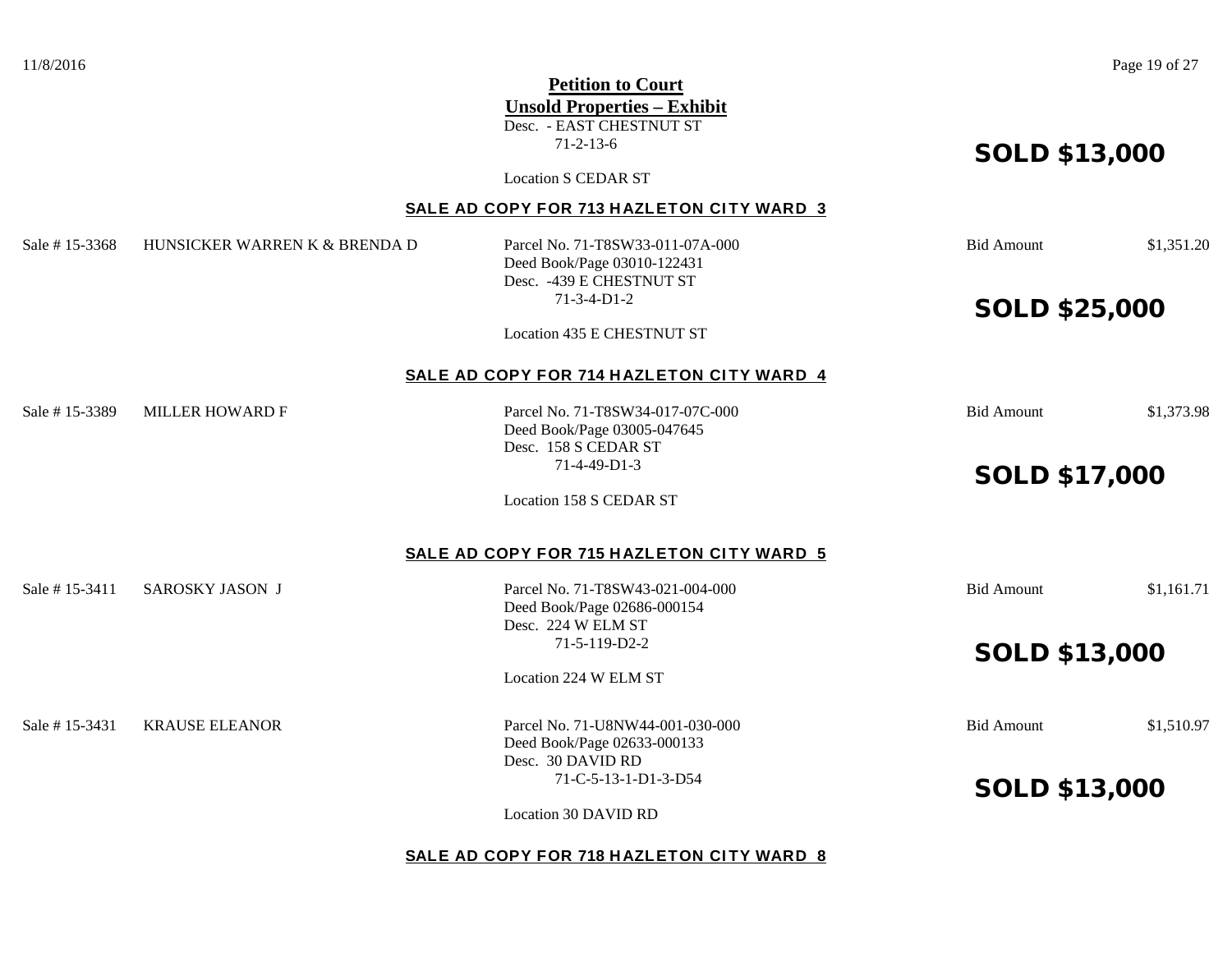|                |                               | <b>Petition to Court</b>                  |                      |            |
|----------------|-------------------------------|-------------------------------------------|----------------------|------------|
|                |                               | <b>Unsold Properties - Exhibit</b>        |                      |            |
|                |                               | Desc. - EAST CHESTNUT ST                  |                      |            |
|                |                               | $71 - 2 - 13 - 6$                         | <b>SOLD \$13,000</b> |            |
|                |                               | <b>Location S CEDAR ST</b>                |                      |            |
|                |                               | SALE AD COPY FOR 713 HAZLETON CITY WARD 3 |                      |            |
| Sale # 15-3368 | HUNSICKER WARREN K & BRENDA D | Parcel No. 71-T8SW33-011-07A-000          | <b>Bid Amount</b>    | \$1,351.20 |
|                |                               | Deed Book/Page 03010-122431               |                      |            |
|                |                               | Desc. - 439 E CHESTNUT ST                 |                      |            |
|                |                               | $71-3-4-D1-2$                             | <b>SOLD \$25,000</b> |            |
|                |                               | Location 435 E CHESTNUT ST                |                      |            |
|                |                               | SALE AD COPY FOR 714 HAZLETON CITY WARD 4 |                      |            |
| Sale # 15-3389 | <b>MILLER HOWARD F</b>        | Parcel No. 71-T8SW34-017-07C-000          | <b>Bid Amount</b>    | \$1,373.98 |
|                |                               | Deed Book/Page 03005-047645               |                      |            |
|                |                               | Desc. 158 S CEDAR ST                      |                      |            |
|                |                               | 71-4-49-D1-3                              | <b>SOLD \$17,000</b> |            |
|                |                               | Location 158 S CEDAR ST                   |                      |            |
|                |                               | SALE AD COPY FOR 715 HAZLETON CITY WARD 5 |                      |            |
| Sale # 15-3411 | <b>SAROSKY JASON J</b>        | Parcel No. 71-T8SW43-021-004-000          | <b>Bid Amount</b>    | \$1,161.71 |
|                |                               | Deed Book/Page 02686-000154               |                      |            |
|                |                               | Desc. 224 W ELM ST                        |                      |            |
|                |                               | 71-5-119-D2-2                             | <b>SOLD \$13,000</b> |            |
|                |                               | Location 224 W ELM ST                     |                      |            |
| Sale # 15-3431 | <b>KRAUSE ELEANOR</b>         | Parcel No. 71-U8NW44-001-030-000          | <b>Bid Amount</b>    | \$1,510.97 |
|                |                               | Deed Book/Page 02633-000133               |                      |            |
|                |                               | Desc. 30 DAVID RD                         |                      |            |
|                |                               | 71-C-5-13-1-D1-3-D54                      | <b>SOLD \$13,000</b> |            |
|                |                               | Location 30 DAVID RD                      |                      |            |
|                |                               | SALE AD COPY FOR 718 HAZLETON CITY WARD 8 |                      |            |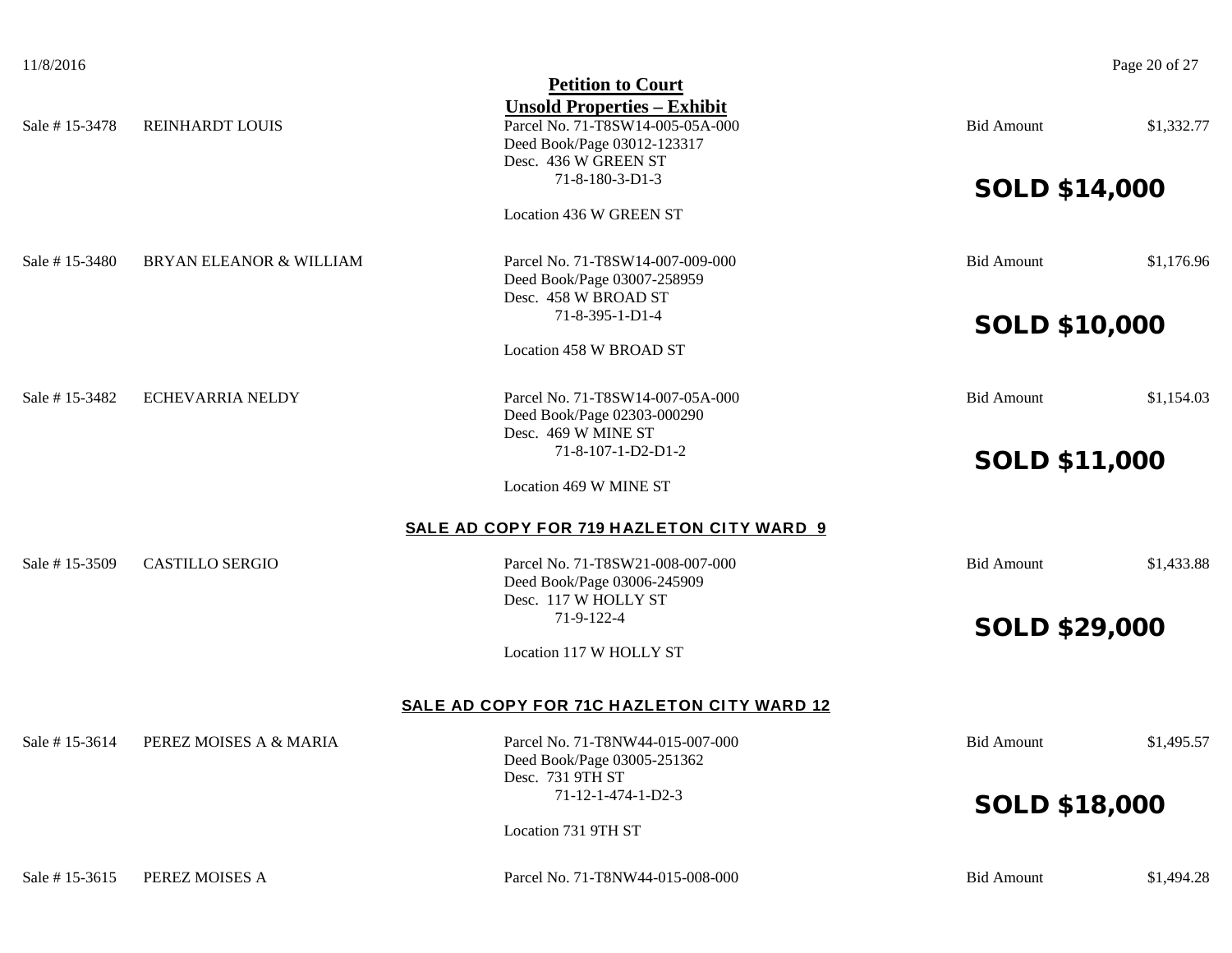|               |                                    | <b>Petition to Court</b>                                        |                      |            |
|---------------|------------------------------------|-----------------------------------------------------------------|----------------------|------------|
|               |                                    | <b>Unsold Properties - Exhibit</b>                              |                      |            |
| Sale #15-3478 | REINHARDT LOUIS                    | Parcel No. 71-T8SW14-005-05A-000                                | <b>Bid Amount</b>    | \$1,332.77 |
|               |                                    | Deed Book/Page 03012-123317                                     |                      |            |
|               |                                    | Desc. 436 W GREEN ST<br>71-8-180-3-D1-3                         |                      |            |
|               |                                    |                                                                 | <b>SOLD \$14,000</b> |            |
|               |                                    | Location 436 W GREEN ST                                         |                      |            |
| Sale #15-3480 | <b>BRYAN ELEANOR &amp; WILLIAM</b> | Parcel No. 71-T8SW14-007-009-000                                | <b>Bid Amount</b>    | \$1,176.96 |
|               |                                    | Deed Book/Page 03007-258959                                     |                      |            |
|               |                                    | Desc. 458 W BROAD ST                                            |                      |            |
|               |                                    | 71-8-395-1-D1-4                                                 | <b>SOLD \$10,000</b> |            |
|               |                                    | Location 458 W BROAD ST                                         |                      |            |
| Sale #15-3482 | <b>ECHEVARRIA NELDY</b>            | Parcel No. 71-T8SW14-007-05A-000                                | <b>Bid Amount</b>    | \$1,154.03 |
|               |                                    | Deed Book/Page 02303-000290                                     |                      |            |
|               |                                    | Desc. 469 W MINE ST                                             |                      |            |
|               |                                    | 71-8-107-1-D2-D1-2                                              | <b>SOLD \$11,000</b> |            |
|               |                                    | Location 469 W MINE ST                                          |                      |            |
|               |                                    | SALE AD COPY FOR 719 HAZLETON CITY WARD 9                       |                      |            |
| Sale #15-3509 | <b>CASTILLO SERGIO</b>             | Parcel No. 71-T8SW21-008-007-000                                | <b>Bid Amount</b>    | \$1,433.88 |
|               |                                    | Deed Book/Page 03006-245909                                     |                      |            |
|               |                                    | Desc. 117 W HOLLY ST                                            |                      |            |
|               |                                    | 71-9-122-4                                                      | <b>SOLD \$29,000</b> |            |
|               |                                    | Location 117 W HOLLY ST                                         |                      |            |
|               |                                    | SALE AD COPY FOR 71C HAZLETON CITY WARD 12                      |                      |            |
| Sale #15-3614 | PEREZ MOISES A & MARIA             |                                                                 |                      | \$1,495.57 |
|               |                                    | Parcel No. 71-T8NW44-015-007-000<br>Deed Book/Page 03005-251362 | <b>Bid Amount</b>    |            |
|               |                                    | Desc. 731 9TH ST                                                |                      |            |
|               |                                    | 71-12-1-474-1-D2-3                                              |                      |            |
|               |                                    |                                                                 | <b>SOLD \$18,000</b> |            |
|               |                                    | Location 731 9TH ST                                             |                      |            |
| Sale #15-3615 | PEREZ MOISES A                     | Parcel No. 71-T8NW44-015-008-000                                | <b>Bid Amount</b>    | \$1,494.28 |
|               |                                    |                                                                 |                      |            |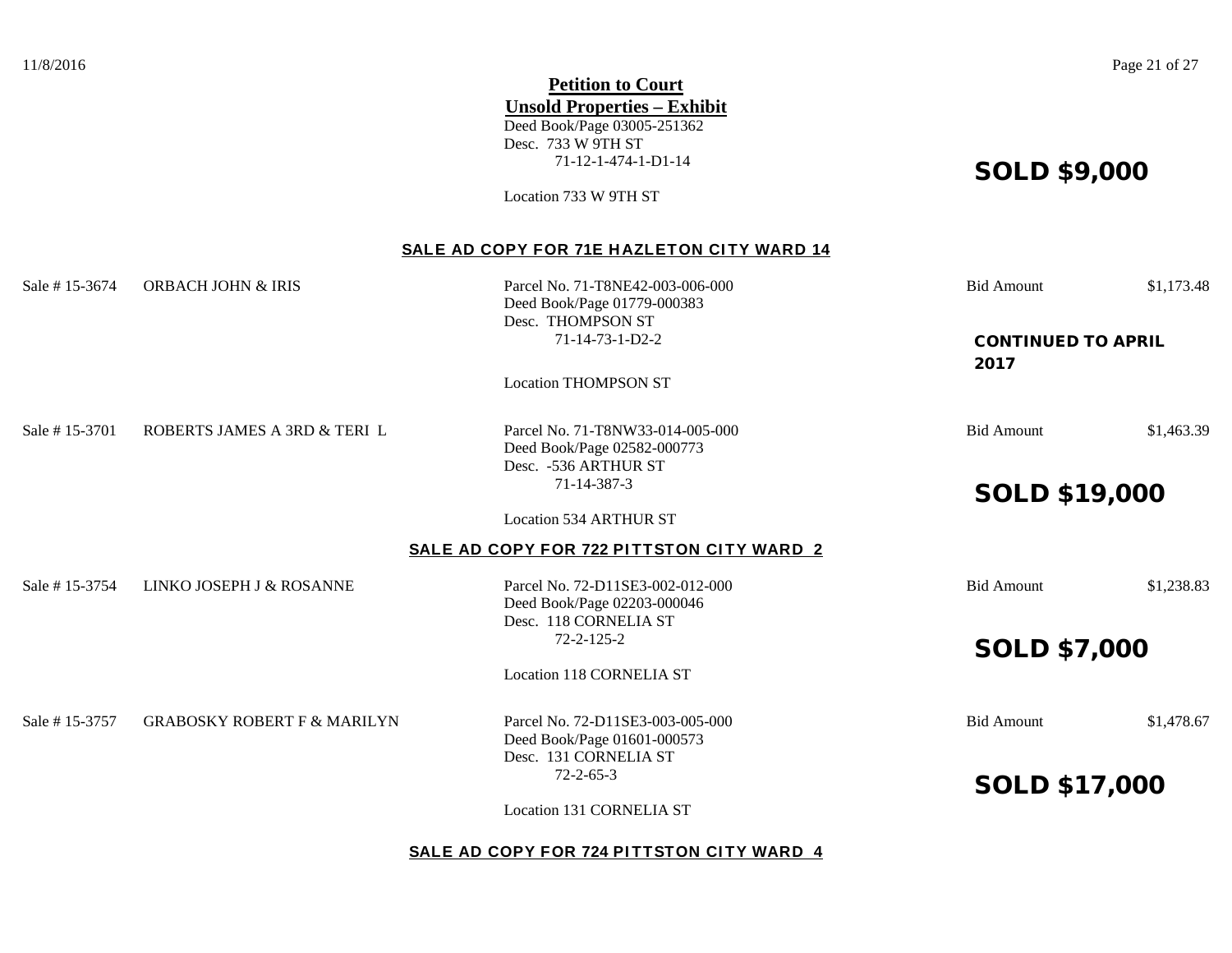|               |                                        | <b>Petition to Court</b>                          |                                   |            |
|---------------|----------------------------------------|---------------------------------------------------|-----------------------------------|------------|
|               |                                        | <b>Unsold Properties - Exhibit</b>                |                                   |            |
|               |                                        | Deed Book/Page 03005-251362<br>Desc. 733 W 9TH ST |                                   |            |
|               |                                        | 71-12-1-474-1-D1-14                               |                                   |            |
|               |                                        |                                                   | <b>SOLD \$9,000</b>               |            |
|               |                                        | Location 733 W 9TH ST                             |                                   |            |
|               |                                        | SALE AD COPY FOR 71E HAZLETON CITY WARD 14        |                                   |            |
| Sale #15-3674 | <b>ORBACH JOHN &amp; IRIS</b>          | Parcel No. 71-T8NE42-003-006-000                  | <b>Bid Amount</b>                 | \$1,173.48 |
|               |                                        | Deed Book/Page 01779-000383                       |                                   |            |
|               |                                        | Desc. THOMPSON ST                                 |                                   |            |
|               |                                        | $71 - 14 - 73 - 1 - D2 - 2$                       | <b>CONTINUED TO APRIL</b><br>2017 |            |
|               |                                        | <b>Location THOMPSON ST</b>                       |                                   |            |
|               |                                        |                                                   |                                   |            |
| Sale #15-3701 | ROBERTS JAMES A 3RD & TERIL            | Parcel No. 71-T8NW33-014-005-000                  | <b>Bid Amount</b>                 | \$1,463.39 |
|               |                                        | Deed Book/Page 02582-000773                       |                                   |            |
|               |                                        | Desc. - 536 ARTHUR ST<br>71-14-387-3              |                                   |            |
|               |                                        |                                                   | <b>SOLD \$19,000</b>              |            |
|               |                                        | <b>Location 534 ARTHUR ST</b>                     |                                   |            |
|               |                                        | SALE AD COPY FOR 722 PITTSTON CITY WARD 2         |                                   |            |
| Sale #15-3754 | LINKO JOSEPH J & ROSANNE               | Parcel No. 72-D11SE3-002-012-000                  | <b>Bid Amount</b>                 | \$1,238.83 |
|               |                                        | Deed Book/Page 02203-000046                       |                                   |            |
|               |                                        | Desc. 118 CORNELIA ST<br>$72 - 2 - 125 - 2$       |                                   |            |
|               |                                        |                                                   | <b>SOLD \$7,000</b>               |            |
|               |                                        | Location 118 CORNELIA ST                          |                                   |            |
| Sale #15-3757 | <b>GRABOSKY ROBERT F &amp; MARILYN</b> | Parcel No. 72-D11SE3-003-005-000                  | <b>Bid Amount</b>                 | \$1,478.67 |
|               |                                        | Deed Book/Page 01601-000573                       |                                   |            |
|               |                                        | Desc. 131 CORNELIA ST<br>$72 - 2 - 65 - 3$        |                                   |            |
|               |                                        |                                                   | <b>SOLD \$17,000</b>              |            |
|               |                                        | Location 131 CORNELIA ST                          |                                   |            |
|               |                                        |                                                   |                                   |            |

## **SALE AD COPY FOR 724 PITTSTON CITY WARD 4**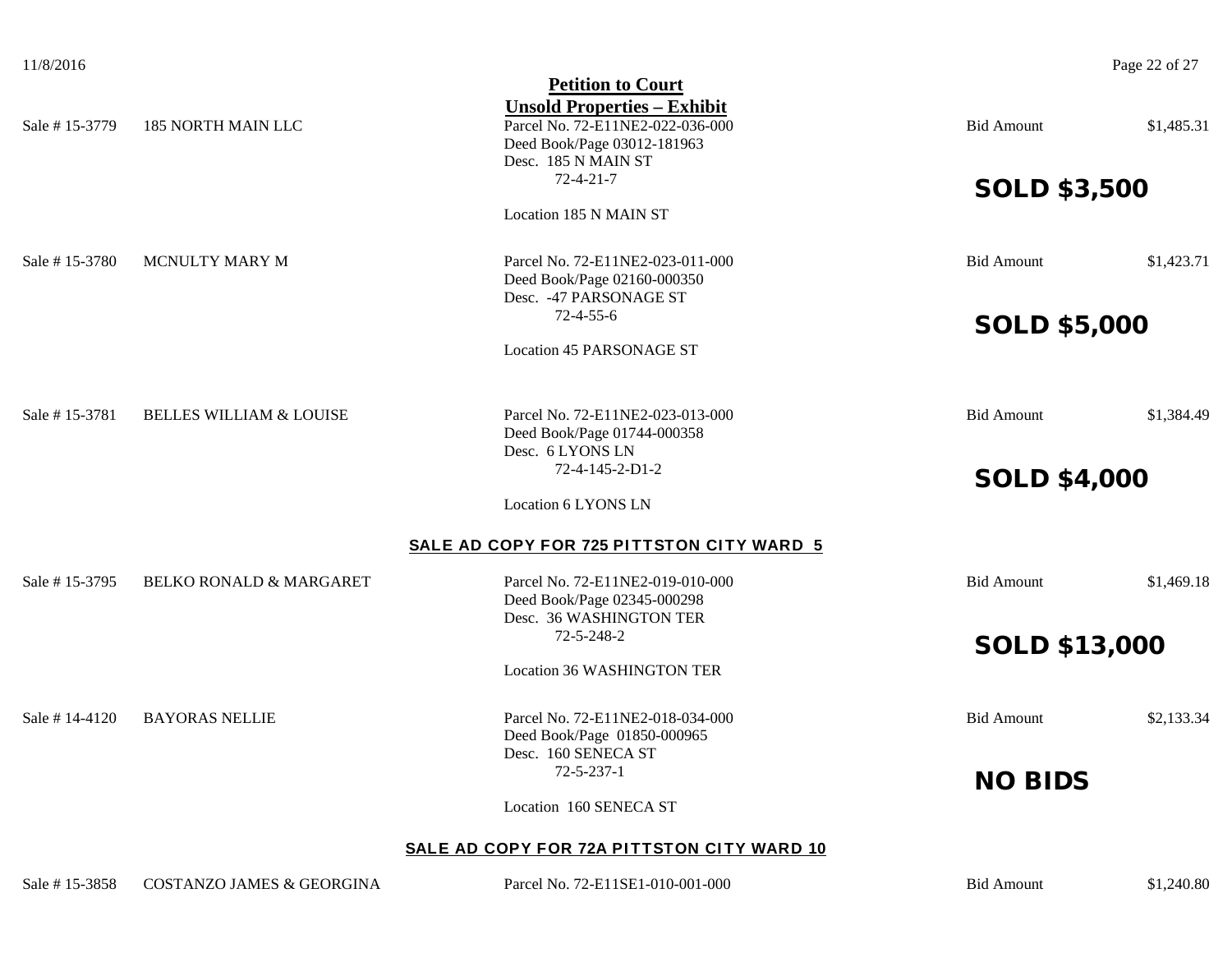| 11/8/2016 |
|-----------|
|-----------|

|                |                                      | <b>Petition to Court</b>                                                                                                                          |                      |            |
|----------------|--------------------------------------|---------------------------------------------------------------------------------------------------------------------------------------------------|----------------------|------------|
| Sale #15-3779  | 185 NORTH MAIN LLC                   | <b>Unsold Properties - Exhibit</b><br>Parcel No. 72-E11NE2-022-036-000<br>Deed Book/Page 03012-181963<br>Desc. 185 N MAIN ST<br>$72 - 4 - 21 - 7$ | <b>Bid Amount</b>    | \$1,485.31 |
|                |                                      |                                                                                                                                                   | <b>SOLD \$3,500</b>  |            |
|                |                                      | Location 185 N MAIN ST                                                                                                                            |                      |            |
| Sale #15-3780  | MCNULTY MARY M                       | Parcel No. 72-E11NE2-023-011-000<br>Deed Book/Page 02160-000350<br>Desc. - 47 PARSONAGE ST                                                        | <b>Bid Amount</b>    | \$1,423.71 |
|                |                                      | $72 - 4 - 55 - 6$                                                                                                                                 | <b>SOLD \$5,000</b>  |            |
|                |                                      | <b>Location 45 PARSONAGE ST</b>                                                                                                                   |                      |            |
| Sale #15-3781  | <b>BELLES WILLIAM &amp; LOUISE</b>   | Parcel No. 72-E11NE2-023-013-000<br>Deed Book/Page 01744-000358<br>Desc. 6 LYONS LN                                                               | <b>Bid Amount</b>    | \$1,384.49 |
|                |                                      | 72-4-145-2-D1-2                                                                                                                                   | <b>SOLD \$4,000</b>  |            |
|                |                                      | Location 6 LYONS LN                                                                                                                               |                      |            |
|                |                                      | SALE AD COPY FOR 725 PITTSTON CITY WARD 5                                                                                                         |                      |            |
| Sale #15-3795  | <b>BELKO RONALD &amp; MARGARET</b>   | Parcel No. 72-E11NE2-019-010-000<br>Deed Book/Page 02345-000298<br>Desc. 36 WASHINGTON TER                                                        | <b>Bid Amount</b>    | \$1,469.18 |
|                |                                      | 72-5-248-2                                                                                                                                        | <b>SOLD \$13,000</b> |            |
|                |                                      | Location 36 WASHINGTON TER                                                                                                                        |                      |            |
| Sale # 14-4120 | <b>BAYORAS NELLIE</b>                | Parcel No. 72-E11NE2-018-034-000<br>Deed Book/Page 01850-000965<br>Desc. 160 SENECA ST                                                            | <b>Bid Amount</b>    | \$2,133.34 |
|                |                                      | $72 - 5 - 237 - 1$                                                                                                                                | <b>NO BIDS</b>       |            |
|                |                                      | Location 160 SENECA ST                                                                                                                            |                      |            |
|                |                                      | SALE AD COPY FOR 72A PITTSTON CITY WARD 10                                                                                                        |                      |            |
| Sale #15-3858  | <b>COSTANZO JAMES &amp; GEORGINA</b> | Parcel No. 72-E11SE1-010-001-000                                                                                                                  | <b>Bid Amount</b>    | \$1,240.80 |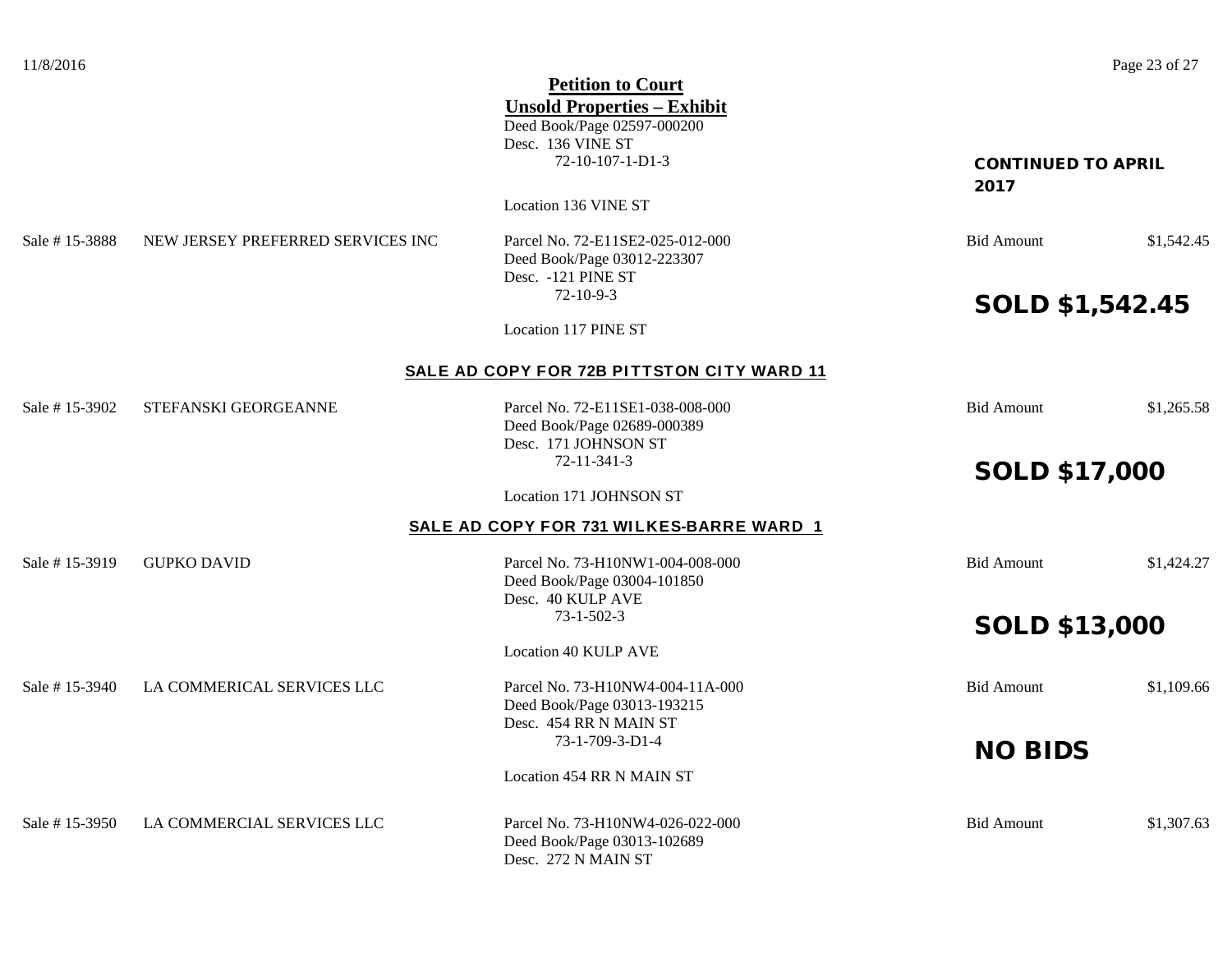|               |                                   | <b>Petition to Court</b>                   |                           |            |
|---------------|-----------------------------------|--------------------------------------------|---------------------------|------------|
|               |                                   | <b>Unsold Properties - Exhibit</b>         |                           |            |
|               |                                   | Deed Book/Page 02597-000200                |                           |            |
|               |                                   | Desc. 136 VINE ST                          |                           |            |
|               |                                   | $72 - 10 - 107 - 1 - D1 - 3$               | <b>CONTINUED TO APRIL</b> |            |
|               |                                   |                                            | 2017                      |            |
|               |                                   | Location 136 VINE ST                       |                           |            |
| Sale #15-3888 | NEW JERSEY PREFERRED SERVICES INC | Parcel No. 72-E11SE2-025-012-000           | <b>Bid Amount</b>         | \$1,542.45 |
|               |                                   | Deed Book/Page 03012-223307                |                           |            |
|               |                                   | Desc. - 121 PINE ST                        |                           |            |
|               |                                   | $72 - 10 - 9 - 3$                          | <b>SOLD \$1,542.45</b>    |            |
|               |                                   | Location 117 PINE ST                       |                           |            |
|               |                                   | SALE AD COPY FOR 72B PITTSTON CITY WARD 11 |                           |            |
| Sale #15-3902 | STEFANSKI GEORGEANNE              | Parcel No. 72-E11SE1-038-008-000           | <b>Bid Amount</b>         | \$1,265.58 |
|               |                                   | Deed Book/Page 02689-000389                |                           |            |
|               |                                   | Desc. 171 JOHNSON ST                       |                           |            |
|               |                                   | 72-11-341-3                                | <b>SOLD \$17,000</b>      |            |
|               |                                   | Location 171 JOHNSON ST                    |                           |            |
|               |                                   | SALE AD COPY FOR 731 WILKES-BARRE WARD 1   |                           |            |
| Sale #15-3919 | <b>GUPKO DAVID</b>                | Parcel No. 73-H10NW1-004-008-000           | <b>Bid Amount</b>         | \$1,424.27 |
|               |                                   | Deed Book/Page 03004-101850                |                           |            |
|               |                                   | Desc. 40 KULP AVE                          |                           |            |
|               |                                   | $73 - 1 - 502 - 3$                         | <b>SOLD \$13,000</b>      |            |
|               |                                   | <b>Location 40 KULP AVE</b>                |                           |            |
|               |                                   |                                            |                           |            |
| Sale #15-3940 | LA COMMERICAL SERVICES LLC        | Parcel No. 73-H10NW4-004-11A-000           | <b>Bid Amount</b>         | \$1,109.66 |
|               |                                   | Deed Book/Page 03013-193215                |                           |            |
|               |                                   | Desc. 454 RR N MAIN ST<br>73-1-709-3-D1-4  |                           |            |
|               |                                   |                                            | <b>NO BIDS</b>            |            |
|               |                                   | Location 454 RR N MAIN ST                  |                           |            |
| Sale #15-3950 | LA COMMERCIAL SERVICES LLC        | Parcel No. 73-H10NW4-026-022-000           | <b>Bid Amount</b>         | \$1,307.63 |
|               |                                   | Deed Book/Page 03013-102689                |                           |            |
|               |                                   | Desc. 272 N MAIN ST                        |                           |            |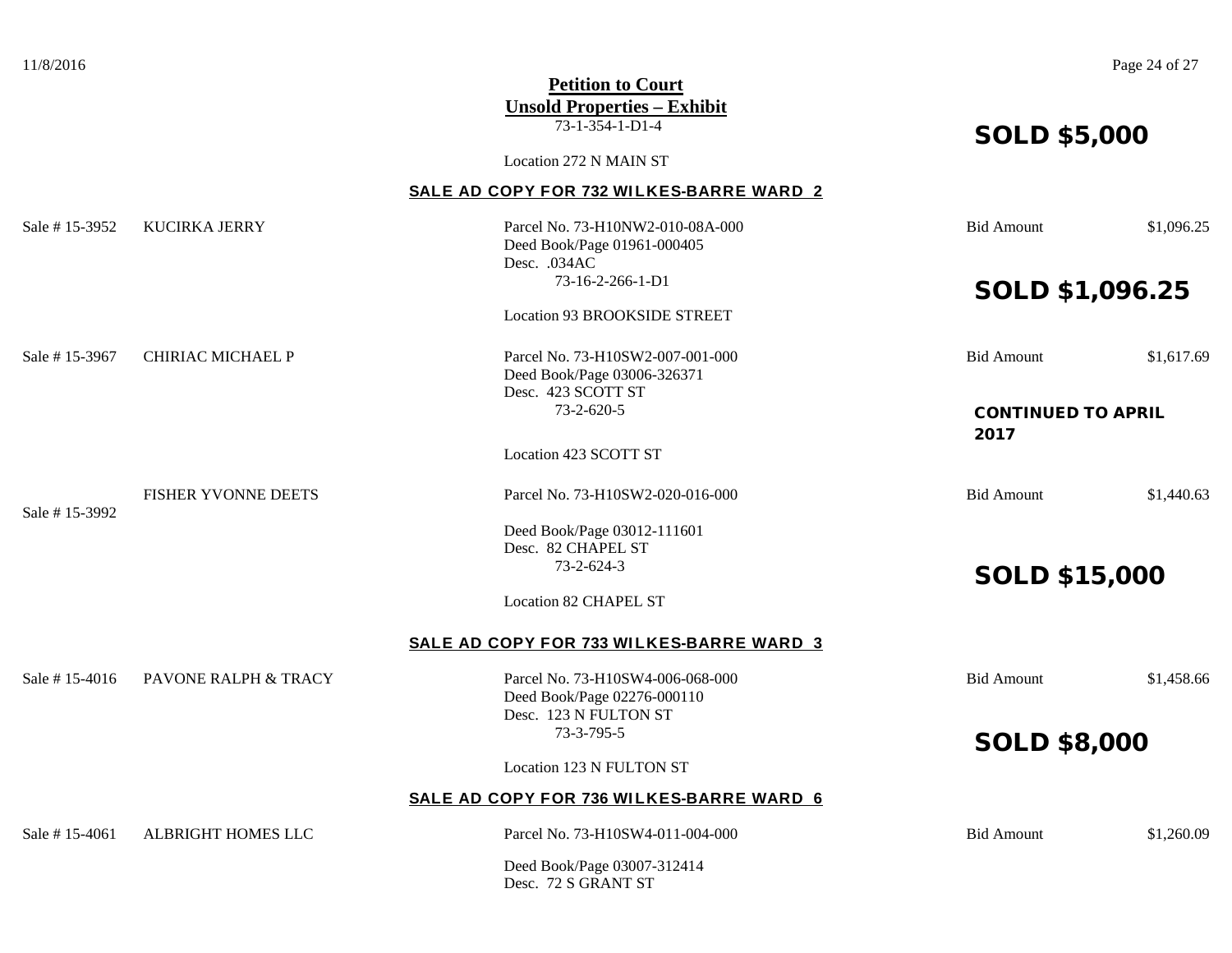| 11/8/2016     |                                 | <b>Petition to Court</b><br><b>Unsold Properties – Exhibit</b>                           |                           | Page 24 of 27 |
|---------------|---------------------------------|------------------------------------------------------------------------------------------|---------------------------|---------------|
|               |                                 | 73-1-354-1-D1-4                                                                          | <b>SOLD \$5,000</b>       |               |
|               |                                 | Location 272 N MAIN ST                                                                   |                           |               |
|               |                                 | SALE AD COPY FOR 732 WILKES-BARRE WARD 2                                                 |                           |               |
| Sale #15-3952 | <b>KUCIRKA JERRY</b>            | Parcel No. 73-H10NW2-010-08A-000<br>Deed Book/Page 01961-000405<br>Desc. .034AC          | <b>Bid Amount</b>         | \$1,096.25    |
|               |                                 | 73-16-2-266-1-D1                                                                         | SOLD \$1,096.25           |               |
|               |                                 | Location 93 BROOKSIDE STREET                                                             |                           |               |
| Sale #15-3967 | CHIRIAC MICHAEL P               | Parcel No. 73-H10SW2-007-001-000<br>Deed Book/Page 03006-326371<br>Desc. 423 SCOTT ST    | <b>Bid Amount</b>         | \$1,617.69    |
|               |                                 | 73-2-620-5                                                                               | <b>CONTINUED TO APRIL</b> |               |
|               |                                 |                                                                                          | 2017                      |               |
|               |                                 | Location 423 SCOTT ST                                                                    |                           |               |
|               | FISHER YVONNE DEETS             | Parcel No. 73-H10SW2-020-016-000                                                         | <b>Bid Amount</b>         | \$1,440.63    |
| Sale #15-3992 |                                 | Deed Book/Page 03012-111601                                                              |                           |               |
|               |                                 | Desc. 82 CHAPEL ST<br>73-2-624-3                                                         |                           |               |
|               |                                 |                                                                                          | <b>SOLD \$15,000</b>      |               |
|               |                                 | <b>Location 82 CHAPEL ST</b>                                                             |                           |               |
|               |                                 | SALE AD COPY FOR 733 WILKES-BARRE WARD 3                                                 |                           |               |
| Sale #15-4016 | <b>PAVONE RALPH &amp; TRACY</b> | Parcel No. 73-H10SW4-006-068-000<br>Deed Book/Page 02276-000110<br>Desc. 123 N FULTON ST | <b>Bid Amount</b>         | \$1,458.66    |
|               |                                 | 73-3-795-5                                                                               | <b>SOLD \$8,000</b>       |               |
|               |                                 | Location 123 N FULTON ST                                                                 |                           |               |
|               |                                 | <b>SALE AD COPY FOR 736 WILKES-BARRE WARD 6</b>                                          |                           |               |
| Sale #15-4061 | <b>ALBRIGHT HOMES LLC</b>       | Parcel No. 73-H10SW4-011-004-000                                                         | <b>Bid Amount</b>         | \$1,260.09    |
|               |                                 | Deed Book/Page 03007-312414                                                              |                           |               |

Desc. 72 S GRANT ST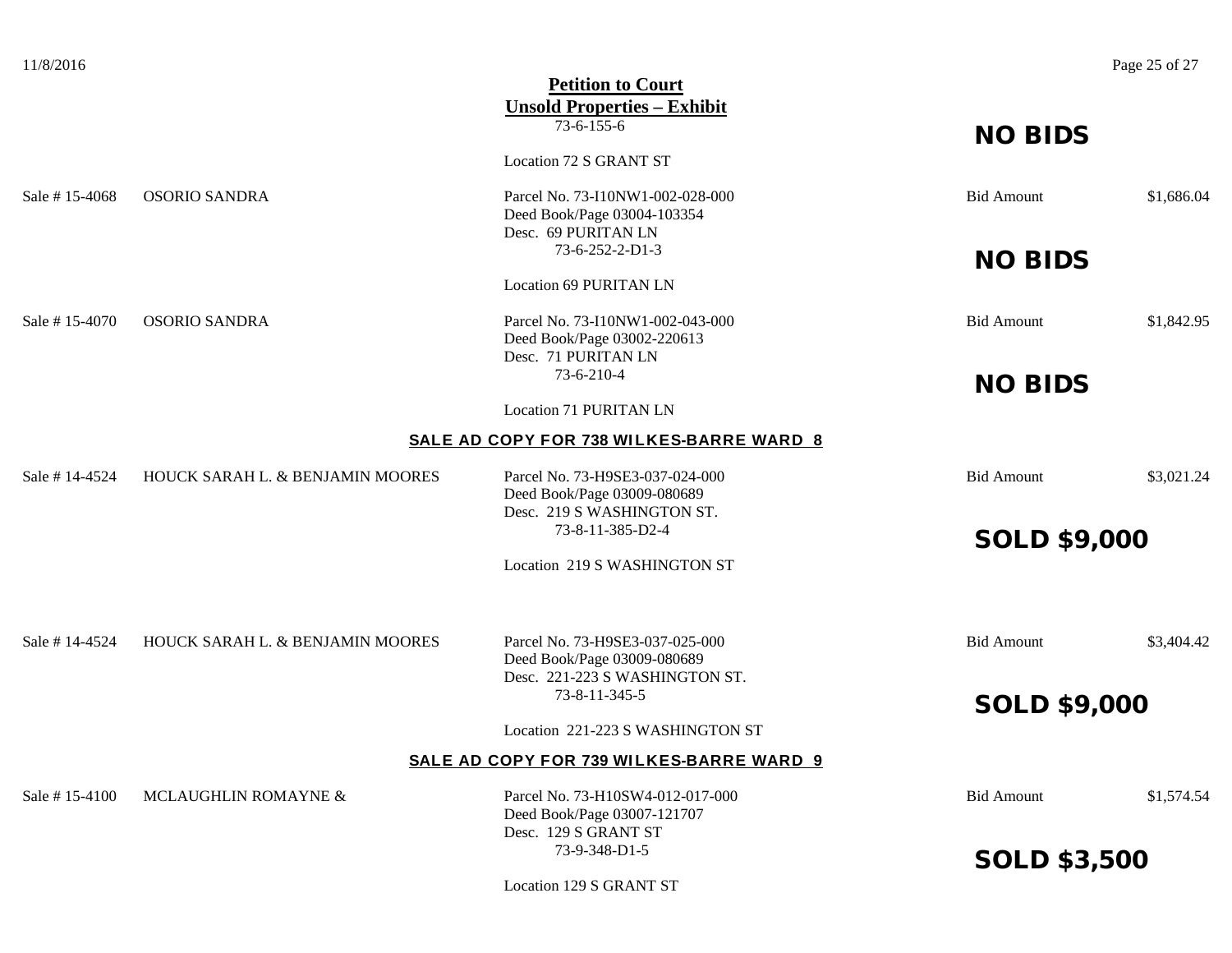| 11/8/2016      |                                  |                                                                                                  |                     | Page 25 of 27 |
|----------------|----------------------------------|--------------------------------------------------------------------------------------------------|---------------------|---------------|
|                |                                  | <b>Petition to Court</b><br><b>Unsold Properties - Exhibit</b>                                   |                     |               |
|                |                                  | $73-6-155-6$                                                                                     | <b>NO BIDS</b>      |               |
|                |                                  | Location 72 S GRANT ST                                                                           |                     |               |
| Sale #15-4068  | <b>OSORIO SANDRA</b>             | Parcel No. 73-I10NW1-002-028-000<br>Deed Book/Page 03004-103354<br>Desc. 69 PURITAN LN           | <b>Bid Amount</b>   | \$1,686.04    |
|                |                                  | 73-6-252-2-D1-3                                                                                  | <b>NO BIDS</b>      |               |
|                |                                  | <b>Location 69 PURITAN LN</b>                                                                    |                     |               |
| Sale #15-4070  | <b>OSORIO SANDRA</b>             | Parcel No. 73-I10NW1-002-043-000<br>Deed Book/Page 03002-220613<br>Desc. 71 PURITAN LN           | <b>Bid Amount</b>   | \$1,842.95    |
|                |                                  | 73-6-210-4                                                                                       | <b>NO BIDS</b>      |               |
|                |                                  | Location 71 PURITAN LN                                                                           |                     |               |
|                |                                  | SALE AD COPY FOR 738 WILKES-BARRE WARD 8                                                         |                     |               |
| Sale # 14-4524 | HOUCK SARAH L. & BENJAMIN MOORES | Parcel No. 73-H9SE3-037-024-000<br>Deed Book/Page 03009-080689<br>Desc. 219 S WASHINGTON ST.     | <b>Bid Amount</b>   | \$3,021.24    |
|                |                                  | 73-8-11-385-D2-4                                                                                 | <b>SOLD \$9,000</b> |               |
|                |                                  | Location 219 S WASHINGTON ST                                                                     |                     |               |
|                |                                  |                                                                                                  |                     |               |
| Sale #14-4524  | HOUCK SARAH L. & BENJAMIN MOORES | Parcel No. 73-H9SE3-037-025-000<br>Deed Book/Page 03009-080689<br>Desc. 221-223 S WASHINGTON ST. | <b>Bid Amount</b>   | \$3,404.42    |
|                |                                  | 73-8-11-345-5                                                                                    | <b>SOLD \$9,000</b> |               |
|                |                                  | Location 221-223 S WASHINGTON ST                                                                 |                     |               |
|                |                                  | SALE AD COPY FOR 739 WILKES-BARRE WARD 9                                                         |                     |               |
| Sale #15-4100  | MCLAUGHLIN ROMAYNE &             | Parcel No. 73-H10SW4-012-017-000                                                                 | <b>Bid Amount</b>   | \$1,574.54    |

Deed Book/Page 03007-121707 Desc. 129 S GRANT ST<br>73-9-348-D1-5

Location 129 S GRANT ST

SOLD \$3,500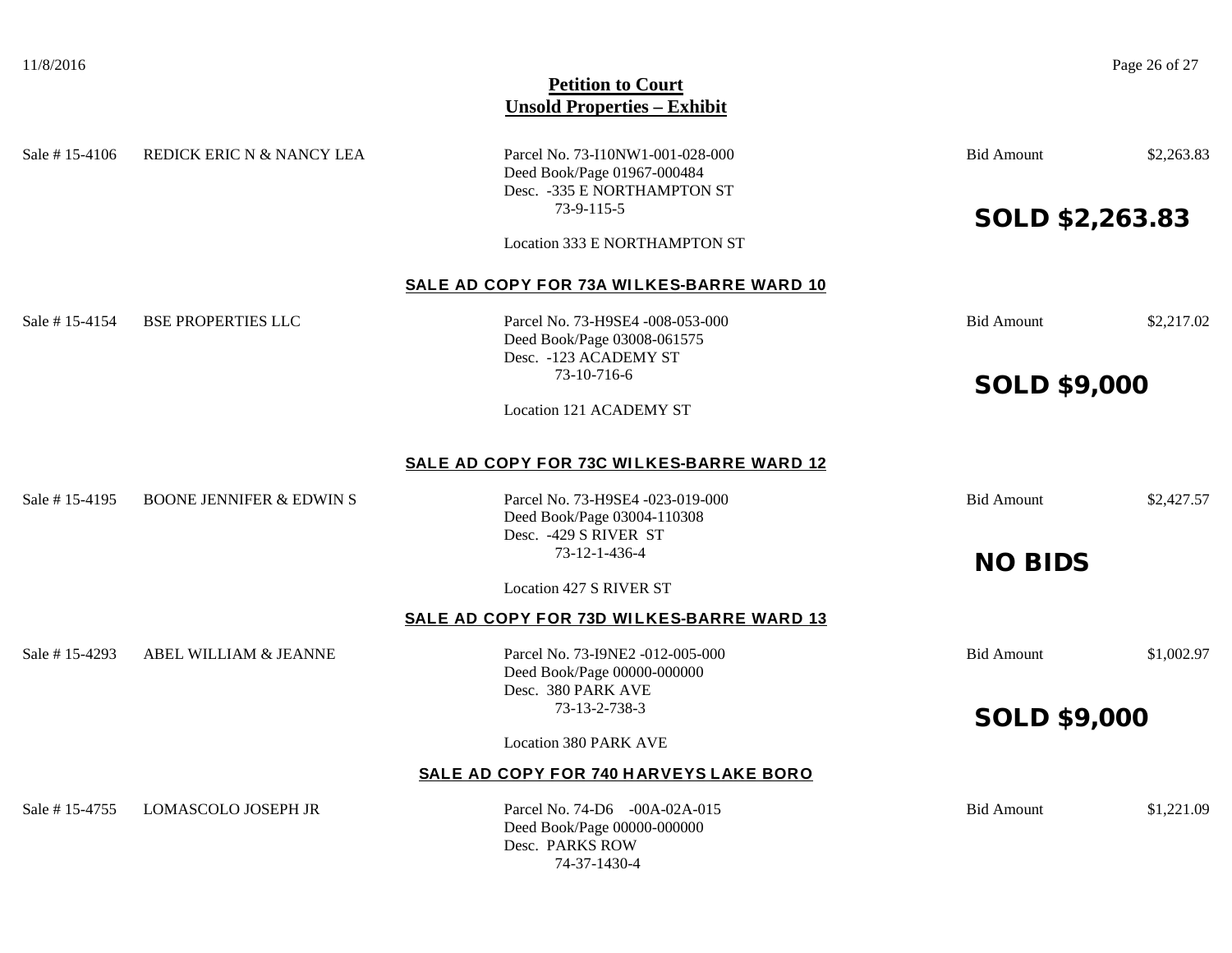| Sale #15-4106  | REDICK ERIC N & NANCY LEA           | Parcel No. 73-I10NW1-001-028-000<br>Deed Book/Page 01967-000484<br>Desc. - 335 E NORTHAMPTON ST<br>73-9-115-5 | <b>Bid Amount</b>      | \$2,263.83 |
|----------------|-------------------------------------|---------------------------------------------------------------------------------------------------------------|------------------------|------------|
|                |                                     | Location 333 E NORTHAMPTON ST                                                                                 | <b>SOLD \$2,263.83</b> |            |
|                |                                     | SALE AD COPY FOR 73A WILKES-BARRE WARD 10                                                                     |                        |            |
| Sale # 15-4154 | <b>BSE PROPERTIES LLC</b>           | Parcel No. 73-H9SE4 -008-053-000<br>Deed Book/Page 03008-061575<br>Desc. - 123 ACADEMY ST                     | <b>Bid Amount</b>      | \$2,217.02 |
|                |                                     | 73-10-716-6                                                                                                   | <b>SOLD \$9,000</b>    |            |
|                |                                     | <b>Location 121 ACADEMY ST</b>                                                                                |                        |            |
|                |                                     | SALE AD COPY FOR 73C WILKES-BARRE WARD 12                                                                     |                        |            |
| Sale #15-4195  | <b>BOONE JENNIFER &amp; EDWIN S</b> | Parcel No. 73-H9SE4 -023-019-000<br>Deed Book/Page 03004-110308<br>Desc. -429 S RIVER ST                      | <b>Bid Amount</b>      | \$2,427.57 |
|                |                                     | 73-12-1-436-4                                                                                                 | <b>NO BIDS</b>         |            |
|                |                                     | Location 427 S RIVER ST                                                                                       |                        |            |
|                |                                     | <b>SALE AD COPY FOR 73D WILKES-BARRE WARD 13</b>                                                              |                        |            |
| Sale #15-4293  | ABEL WILLIAM & JEANNE               | Parcel No. 73-I9NE2 -012-005-000<br>Deed Book/Page 00000-000000<br>Desc. 380 PARK AVE                         | <b>Bid Amount</b>      | \$1,002.97 |
|                |                                     | 73-13-2-738-3                                                                                                 | <b>SOLD \$9,000</b>    |            |
|                |                                     | <b>Location 380 PARK AVE</b>                                                                                  |                        |            |
|                |                                     | SALE AD COPY FOR 740 HARVEYS LAKE BORO                                                                        |                        |            |
| Sale #15-4755  | <b>LOMASCOLO JOSEPH JR</b>          | Parcel No. 74-D6 -00A-02A-015<br>Deed Book/Page 00000-000000<br>Desc. PARKS ROW                               | <b>Bid Amount</b>      | \$1,221.09 |

74-37-1430-4